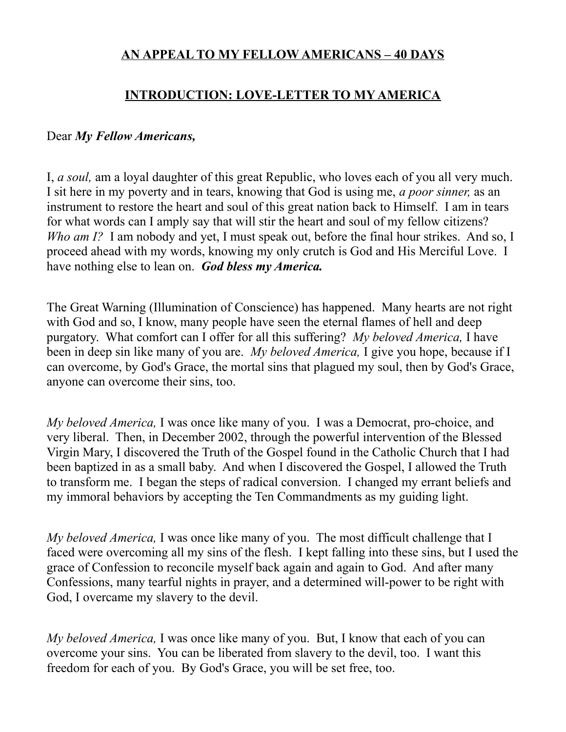# **AN APPEAL TO MY FELLOW AMERICANS – 40 DAYS**

### **INTRODUCTION: LOVE-LETTER TO MY AMERICA**

### Dear *My Fellow Americans,*

I, *a soul,* am a loyal daughter of this great Republic, who loves each of you all very much. I sit here in my poverty and in tears, knowing that God is using me, *a poor sinner,* as an instrument to restore the heart and soul of this great nation back to Himself. I am in tears for what words can I amply say that will stir the heart and soul of my fellow citizens? *Who am I?* I am nobody and yet, I must speak out, before the final hour strikes. And so, I proceed ahead with my words, knowing my only crutch is God and His Merciful Love. I have nothing else to lean on. *God bless my America.*

The Great Warning (Illumination of Conscience) has happened. Many hearts are not right with God and so, I know, many people have seen the eternal flames of hell and deep purgatory. What comfort can I offer for all this suffering? *My beloved America,* I have been in deep sin like many of you are. *My beloved America,* I give you hope, because if I can overcome, by God's Grace, the mortal sins that plagued my soul, then by God's Grace, anyone can overcome their sins, too.

*My beloved America,* I was once like many of you. I was a Democrat, pro-choice, and very liberal. Then, in December 2002, through the powerful intervention of the Blessed Virgin Mary, I discovered the Truth of the Gospel found in the Catholic Church that I had been baptized in as a small baby. And when I discovered the Gospel, I allowed the Truth to transform me. I began the steps of radical conversion. I changed my errant beliefs and my immoral behaviors by accepting the Ten Commandments as my guiding light.

*My beloved America,* I was once like many of you. The most difficult challenge that I faced were overcoming all my sins of the flesh. I kept falling into these sins, but I used the grace of Confession to reconcile myself back again and again to God. And after many Confessions, many tearful nights in prayer, and a determined will-power to be right with God, I overcame my slavery to the devil.

*My beloved America,* I was once like many of you. But, I know that each of you can overcome your sins. You can be liberated from slavery to the devil, too. I want this freedom for each of you. By God's Grace, you will be set free, too.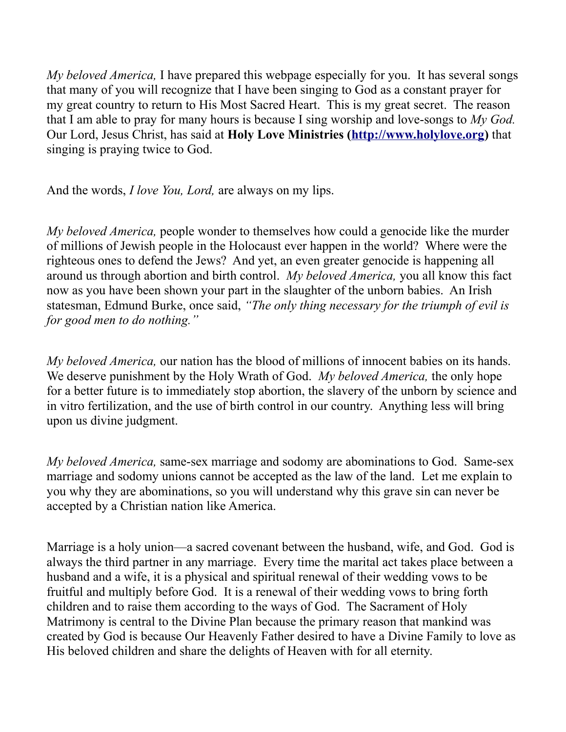*My beloved America,* I have prepared this webpage especially for you. It has several songs that many of you will recognize that I have been singing to God as a constant prayer for my great country to return to His Most Sacred Heart. This is my great secret. The reason that I am able to pray for many hours is because I sing worship and love-songs to *My God.* Our Lord, Jesus Christ, has said at **Holy Love Ministries [\(http://www.holylove.org\)](http://www.holylove.org/)** that singing is praying twice to God.

And the words, *I love You, Lord,* are always on my lips.

*My beloved America,* people wonder to themselves how could a genocide like the murder of millions of Jewish people in the Holocaust ever happen in the world? Where were the righteous ones to defend the Jews? And yet, an even greater genocide is happening all around us through abortion and birth control. *My beloved America,* you all know this fact now as you have been shown your part in the slaughter of the unborn babies. An Irish statesman, Edmund Burke, once said, *"The only thing necessary for the triumph of evil is for good men to do nothing."*

*My beloved America,* our nation has the blood of millions of innocent babies on its hands. We deserve punishment by the Holy Wrath of God. *My beloved America,* the only hope for a better future is to immediately stop abortion, the slavery of the unborn by science and in vitro fertilization, and the use of birth control in our country. Anything less will bring upon us divine judgment.

*My beloved America,* same-sex marriage and sodomy are abominations to God. Same-sex marriage and sodomy unions cannot be accepted as the law of the land. Let me explain to you why they are abominations, so you will understand why this grave sin can never be accepted by a Christian nation like America.

Marriage is a holy union—a sacred covenant between the husband, wife, and God. God is always the third partner in any marriage. Every time the marital act takes place between a husband and a wife, it is a physical and spiritual renewal of their wedding vows to be fruitful and multiply before God. It is a renewal of their wedding vows to bring forth children and to raise them according to the ways of God. The Sacrament of Holy Matrimony is central to the Divine Plan because the primary reason that mankind was created by God is because Our Heavenly Father desired to have a Divine Family to love as His beloved children and share the delights of Heaven with for all eternity.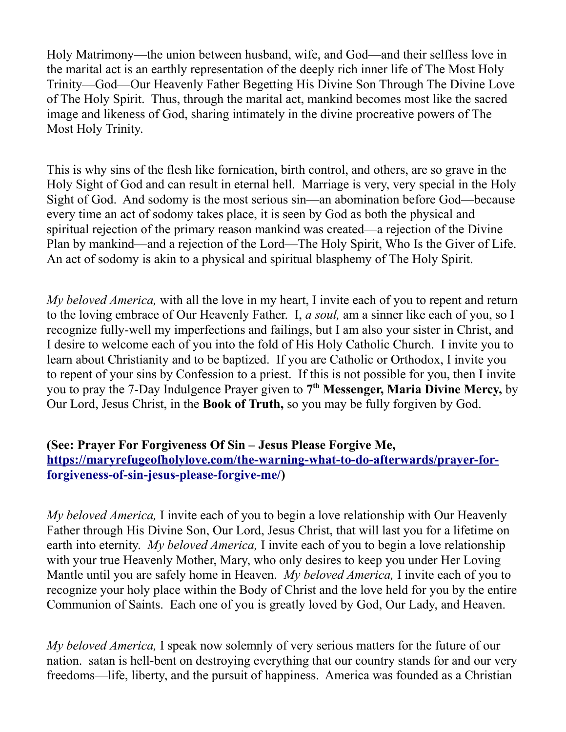Holy Matrimony—the union between husband, wife, and God—and their selfless love in the marital act is an earthly representation of the deeply rich inner life of The Most Holy Trinity—God—Our Heavenly Father Begetting His Divine Son Through The Divine Love of The Holy Spirit. Thus, through the marital act, mankind becomes most like the sacred image and likeness of God, sharing intimately in the divine procreative powers of The Most Holy Trinity.

This is why sins of the flesh like fornication, birth control, and others, are so grave in the Holy Sight of God and can result in eternal hell. Marriage is very, very special in the Holy Sight of God. And sodomy is the most serious sin—an abomination before God—because every time an act of sodomy takes place, it is seen by God as both the physical and spiritual rejection of the primary reason mankind was created—a rejection of the Divine Plan by mankind—and a rejection of the Lord—The Holy Spirit, Who Is the Giver of Life. An act of sodomy is akin to a physical and spiritual blasphemy of The Holy Spirit.

*My beloved America,* with all the love in my heart, I invite each of you to repent and return to the loving embrace of Our Heavenly Father. I, *a soul,* am a sinner like each of you, so I recognize fully-well my imperfections and failings, but I am also your sister in Christ, and I desire to welcome each of you into the fold of His Holy Catholic Church. I invite you to learn about Christianity and to be baptized. If you are Catholic or Orthodox, I invite you to repent of your sins by Confession to a priest. If this is not possible for you, then I invite you to pray the 7-Day Indulgence Prayer given to 7<sup>th</sup> Messenger, Maria Divine Mercy, by Our Lord, Jesus Christ, in the **Book of Truth,** so you may be fully forgiven by God.

**(See: Prayer For Forgiveness Of Sin – Jesus Please Forgive Me, [https://maryrefugeofholylove.com/the-warning-what-to-do-afterwards/prayer-for](https://maryrefugeofholylove.com/the-warning-what-to-do-afterwards/prayer-for-forgiveness-of-sin-jesus-please-forgive-me/)[forgiveness-of-sin-jesus-please-forgive-me/\)](https://maryrefugeofholylove.com/the-warning-what-to-do-afterwards/prayer-for-forgiveness-of-sin-jesus-please-forgive-me/)** 

*My beloved America,* I invite each of you to begin a love relationship with Our Heavenly Father through His Divine Son, Our Lord, Jesus Christ, that will last you for a lifetime on earth into eternity. *My beloved America,* I invite each of you to begin a love relationship with your true Heavenly Mother, Mary, who only desires to keep you under Her Loving Mantle until you are safely home in Heaven. *My beloved America,* I invite each of you to recognize your holy place within the Body of Christ and the love held for you by the entire Communion of Saints. Each one of you is greatly loved by God, Our Lady, and Heaven.

*My beloved America,* I speak now solemnly of very serious matters for the future of our nation. satan is hell-bent on destroying everything that our country stands for and our very freedoms—life, liberty, and the pursuit of happiness. America was founded as a Christian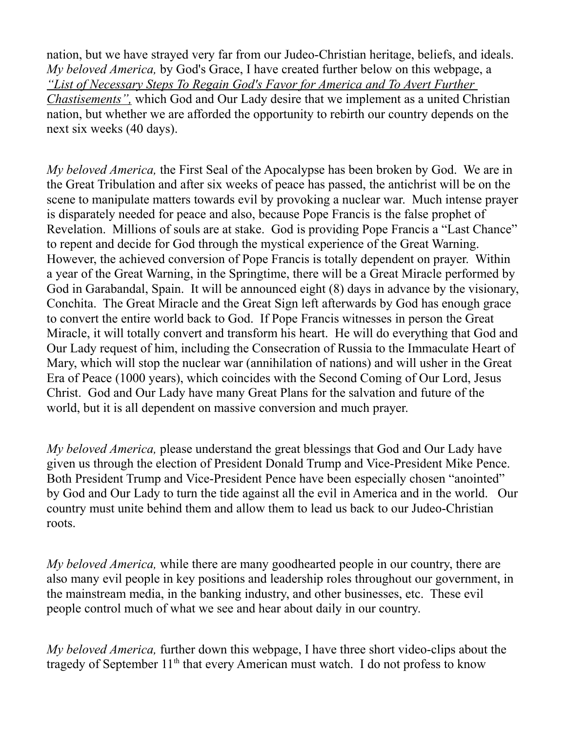nation, but we have strayed very far from our Judeo-Christian heritage, beliefs, and ideals. *My beloved America,* by God's Grace, I have created further below on this webpage, a *"List of Necessary Steps To Regain God's Favor for America and To Avert Further Chastisements",* which God and Our Lady desire that we implement as a united Christian nation, but whether we are afforded the opportunity to rebirth our country depends on the next six weeks (40 days).

*My beloved America,* the First Seal of the Apocalypse has been broken by God. We are in the Great Tribulation and after six weeks of peace has passed, the antichrist will be on the scene to manipulate matters towards evil by provoking a nuclear war. Much intense prayer is disparately needed for peace and also, because Pope Francis is the false prophet of Revelation. Millions of souls are at stake. God is providing Pope Francis a "Last Chance" to repent and decide for God through the mystical experience of the Great Warning. However, the achieved conversion of Pope Francis is totally dependent on prayer. Within a year of the Great Warning, in the Springtime, there will be a Great Miracle performed by God in Garabandal, Spain. It will be announced eight (8) days in advance by the visionary, Conchita. The Great Miracle and the Great Sign left afterwards by God has enough grace to convert the entire world back to God. If Pope Francis witnesses in person the Great Miracle, it will totally convert and transform his heart. He will do everything that God and Our Lady request of him, including the Consecration of Russia to the Immaculate Heart of Mary, which will stop the nuclear war (annihilation of nations) and will usher in the Great Era of Peace (1000 years), which coincides with the Second Coming of Our Lord, Jesus Christ. God and Our Lady have many Great Plans for the salvation and future of the world, but it is all dependent on massive conversion and much prayer.

*My beloved America,* please understand the great blessings that God and Our Lady have given us through the election of President Donald Trump and Vice-President Mike Pence. Both President Trump and Vice-President Pence have been especially chosen "anointed" by God and Our Lady to turn the tide against all the evil in America and in the world. Our country must unite behind them and allow them to lead us back to our Judeo-Christian roots.

*My beloved America,* while there are many goodhearted people in our country, there are also many evil people in key positions and leadership roles throughout our government, in the mainstream media, in the banking industry, and other businesses, etc. These evil people control much of what we see and hear about daily in our country.

*My beloved America,* further down this webpage, I have three short video-clips about the tragedy of September  $11<sup>th</sup>$  that every American must watch. I do not profess to know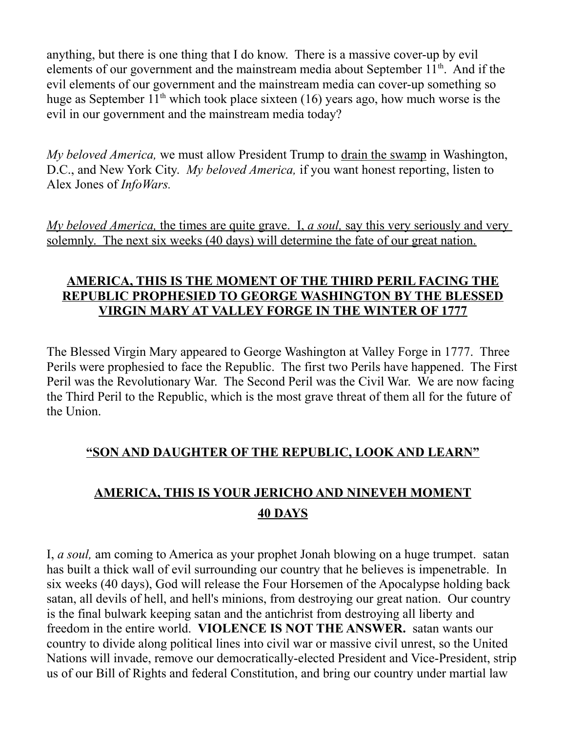anything, but there is one thing that I do know. There is a massive cover-up by evil elements of our government and the mainstream media about September  $11<sup>th</sup>$ . And if the evil elements of our government and the mainstream media can cover-up something so huge as September  $11<sup>th</sup>$  which took place sixteen (16) years ago, how much worse is the evil in our government and the mainstream media today?

*My beloved America,* we must allow President Trump to drain the swamp in Washington, D.C., and New York City. *My beloved America,* if you want honest reporting, listen to Alex Jones of *InfoWars.*

 *My beloved America,* the times are quite grave. I, *a soul,* say this very seriously and very solemnly. The next six weeks (40 days) will determine the fate of our great nation.

### **AMERICA, THIS IS THE MOMENT OF THE THIRD PERIL FACING THE REPUBLIC PROPHESIED TO GEORGE WASHINGTON BY THE BLESSED VIRGIN MARY AT VALLEY FORGE IN THE WINTER OF 1777**

The Blessed Virgin Mary appeared to George Washington at Valley Forge in 1777. Three Perils were prophesied to face the Republic. The first two Perils have happened. The First Peril was the Revolutionary War. The Second Peril was the Civil War. We are now facing the Third Peril to the Republic, which is the most grave threat of them all for the future of the Union.

# **"SON AND DAUGHTER OF THE REPUBLIC, LOOK AND LEARN"**

# **AMERICA, THIS IS YOUR JERICHO AND NINEVEH MOMENT 40 DAYS**

I, *a soul,* am coming to America as your prophet Jonah blowing on a huge trumpet. satan has built a thick wall of evil surrounding our country that he believes is impenetrable. In six weeks (40 days), God will release the Four Horsemen of the Apocalypse holding back satan, all devils of hell, and hell's minions, from destroying our great nation. Our country is the final bulwark keeping satan and the antichrist from destroying all liberty and freedom in the entire world. **VIOLENCE IS NOT THE ANSWER.** satan wants our country to divide along political lines into civil war or massive civil unrest, so the United Nations will invade, remove our democratically-elected President and Vice-President, strip us of our Bill of Rights and federal Constitution, and bring our country under martial law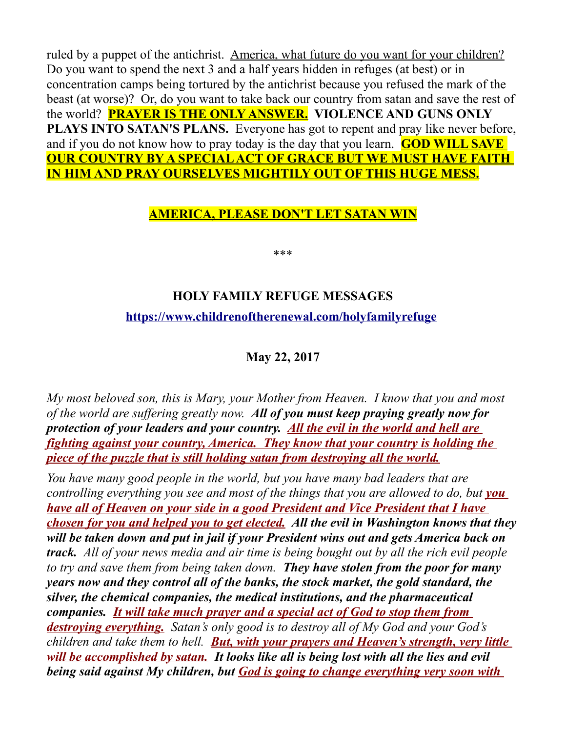ruled by a puppet of the antichrist. America, what future do you want for your children? Do you want to spend the next 3 and a half years hidden in refuges (at best) or in concentration camps being tortured by the antichrist because you refused the mark of the beast (at worse)? Or, do you want to take back our country from satan and save the rest of the world? **PRAYER IS THE ONLY ANSWER. VIOLENCE AND GUNS ONLY PLAYS INTO SATAN'S PLANS.** Everyone has got to repent and pray like never before, and if you do not know how to pray today is the day that you learn. **GOD WILL SAVE OUR COUNTRY BY A SPECIAL ACT OF GRACE BUT WE MUST HAVE FAITH IN HIM AND PRAY OURSELVES MIGHTILY OUT OF THIS HUGE MESS.**

### **AMERICA, PLEASE DON'T LET SATAN WIN**

\*\*\*

# **HOLY FAMILY REFUGE MESSAGES**

**<https://www.childrenoftherenewal.com/holyfamilyrefuge>**

**May 22, 2017**

*My most beloved son, this is Mary, your Mother from Heaven. I know that you and most of the world are suffering greatly now. All of you must keep praying greatly now for protection of your leaders and your country. All the evil in the world and hell are fighting against your country, America. They know that your country is holding the piece of the puzzle that is still holding satan from destroying all the world.*

*You have many good people in the world, but you have many bad leaders that are controlling everything you see and most of the things that you are allowed to do, but you have all of Heaven on your side in a good President and Vice President that I have chosen for you and helped you to get elected. All the evil in Washington knows that they will be taken down and put in jail if your President wins out and gets America back on track. All of your news media and air time is being bought out by all the rich evil people to try and save them from being taken down. They have stolen from the poor for many years now and they control all of the banks, the stock market, the gold standard, the silver, the chemical companies, the medical institutions, and the pharmaceutical companies. It will take much prayer and a special act of God to stop them from destroying everything. Satan's only good is to destroy all of My God and your God's children and take them to hell. But, with your prayers and Heaven's strength, very little will be accomplished by satan. It looks like all is being lost with all the lies and evil being said against My children, but God is going to change everything very soon with*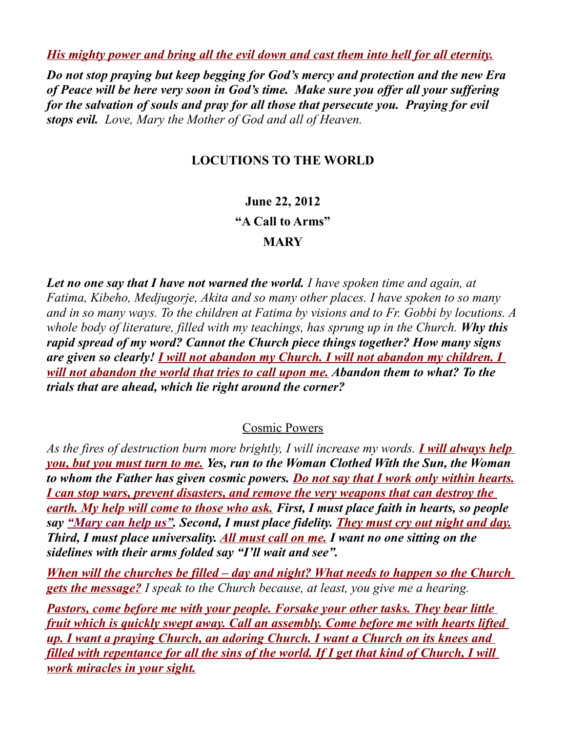*His mighty power and bring all the evil down and cast them into hell for all eternity.*

*Do not stop praying but keep begging for God's mercy and protection and the new Era of Peace will be here very soon in God's time. Make sure you offer all your suffering for the salvation of souls and pray for all those that persecute you. Praying for evil stops evil. Love, Mary the Mother of God and all of Heaven.*

### **LOCUTIONS TO THE WORLD**

# **June 22, 2012 "A Call to Arms" MARY**

*Let no one say that I have not warned the world. I have spoken time and again, at Fatima, Kibeho, Medjugorje, Akita and so many other places. I have spoken to so many and in so many ways. To the children at Fatima by visions and to Fr. Gobbi by locutions. A whole body of literature, filled with my teachings, has sprung up in the Church. Why this rapid spread of my word? Cannot the Church piece things together? How many signs are given so clearly! I will not abandon my Church. I will not abandon my children. I will not abandon the world that tries to call upon me. Abandon them to what? To the trials that are ahead, which lie right around the corner?*

### Cosmic Powers

*As the fires of destruction burn more brightly, I will increase my words. I will always help you, but you must turn to me. Yes, run to the Woman Clothed With the Sun, the Woman to whom the Father has given cosmic powers. Do not say that I work only within hearts. I can stop wars, prevent disasters, and remove the very weapons that can destroy the earth. My help will come to those who ask. First, I must place faith in hearts, so people say "Mary can help us". Second, I must place fidelity. They must cry out night and day. Third, I must place universality. All must call on me. I want no one sitting on the sidelines with their arms folded say "I'll wait and see".*

*When will the churches be filled – day and night? What needs to happen so the Church gets the message? I speak to the Church because, at least, you give me a hearing.*

*Pastors, come before me with your people. Forsake your other tasks. They bear little fruit which is quickly swept away. Call an assembly. Come before me with hearts lifted up. I want a praying Church, an adoring Church. I want a Church on its knees and filled with repentance for all the sins of the world. If I get that kind of Church, I will work miracles in your sight.*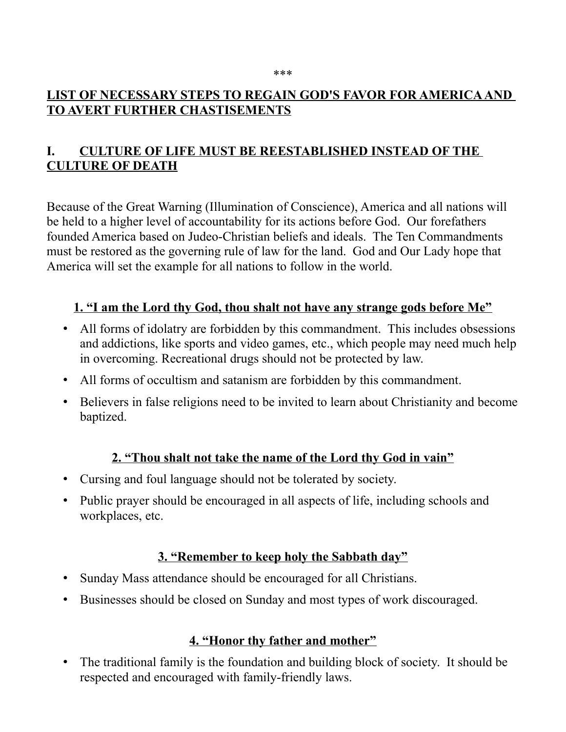# **LIST OF NECESSARY STEPS TO REGAIN GOD'S FAVOR FOR AMERICA AND TO AVERT FURTHER CHASTISEMENTS**

# **I. CULTURE OF LIFE MUST BE REESTABLISHED INSTEAD OF THE CULTURE OF DEATH**

Because of the Great Warning (Illumination of Conscience), America and all nations will be held to a higher level of accountability for its actions before God. Our forefathers founded America based on Judeo-Christian beliefs and ideals. The Ten Commandments must be restored as the governing rule of law for the land. God and Our Lady hope that America will set the example for all nations to follow in the world.

# **1. "I am the Lord thy God, thou shalt not have any strange gods before Me"**

- All forms of idolatry are forbidden by this commandment. This includes obsessions and addictions, like sports and video games, etc., which people may need much help in overcoming. Recreational drugs should not be protected by law.
- All forms of occultism and satanism are forbidden by this commandment.
- Believers in false religions need to be invited to learn about Christianity and become baptized.

# **2. "Thou shalt not take the name of the Lord thy God in vain"**

- Cursing and foul language should not be tolerated by society.
- Public prayer should be encouraged in all aspects of life, including schools and workplaces, etc.

# **3. "Remember to keep holy the Sabbath day"**

- Sunday Mass attendance should be encouraged for all Christians.
- Businesses should be closed on Sunday and most types of work discouraged.

# **4. "Honor thy father and mother"**

• The traditional family is the foundation and building block of society. It should be respected and encouraged with family-friendly laws.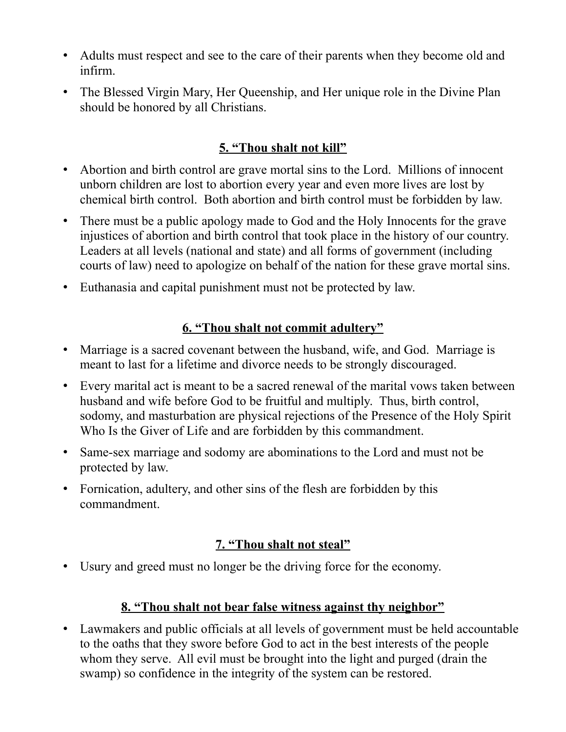- Adults must respect and see to the care of their parents when they become old and infirm.
- The Blessed Virgin Mary, Her Queenship, and Her unique role in the Divine Plan should be honored by all Christians.

# **5. "Thou shalt not kill"**

- Abortion and birth control are grave mortal sins to the Lord. Millions of innocent unborn children are lost to abortion every year and even more lives are lost by chemical birth control. Both abortion and birth control must be forbidden by law.
- There must be a public apology made to God and the Holy Innocents for the grave injustices of abortion and birth control that took place in the history of our country. Leaders at all levels (national and state) and all forms of government (including courts of law) need to apologize on behalf of the nation for these grave mortal sins.
- Euthanasia and capital punishment must not be protected by law.

# **6. "Thou shalt not commit adultery"**

- Marriage is a sacred covenant between the husband, wife, and God. Marriage is meant to last for a lifetime and divorce needs to be strongly discouraged.
- Every marital act is meant to be a sacred renewal of the marital vows taken between husband and wife before God to be fruitful and multiply. Thus, birth control, sodomy, and masturbation are physical rejections of the Presence of the Holy Spirit Who Is the Giver of Life and are forbidden by this commandment.
- Same-sex marriage and sodomy are abominations to the Lord and must not be protected by law.
- Fornication, adultery, and other sins of the flesh are forbidden by this commandment.

# **7. "Thou shalt not steal"**

• Usury and greed must no longer be the driving force for the economy.

# **8. "Thou shalt not bear false witness against thy neighbor"**

• Lawmakers and public officials at all levels of government must be held accountable to the oaths that they swore before God to act in the best interests of the people whom they serve. All evil must be brought into the light and purged (drain the swamp) so confidence in the integrity of the system can be restored.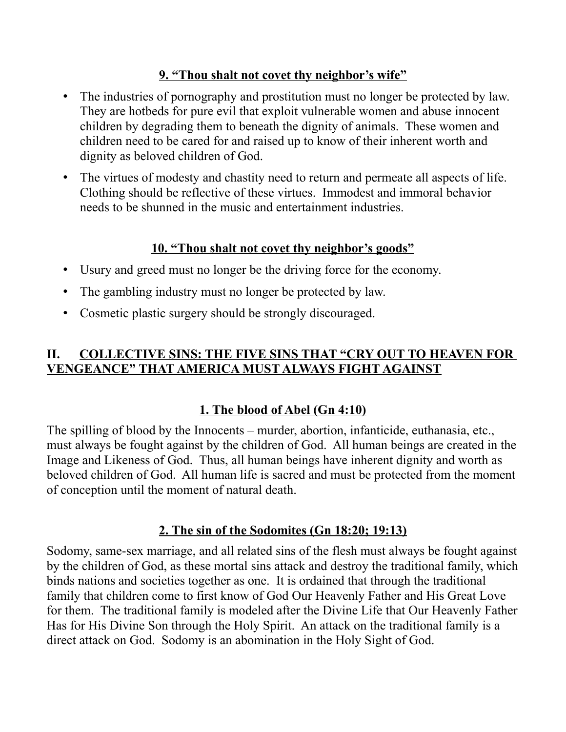# **9. "Thou shalt not covet thy neighbor's wife"**

- The industries of pornography and prostitution must no longer be protected by law. They are hotbeds for pure evil that exploit vulnerable women and abuse innocent children by degrading them to beneath the dignity of animals. These women and children need to be cared for and raised up to know of their inherent worth and dignity as beloved children of God.
- The virtues of modesty and chastity need to return and permeate all aspects of life. Clothing should be reflective of these virtues. Immodest and immoral behavior needs to be shunned in the music and entertainment industries.

# **10. "Thou shalt not covet thy neighbor's goods"**

- Usury and greed must no longer be the driving force for the economy.
- The gambling industry must no longer be protected by law.
- Cosmetic plastic surgery should be strongly discouraged.

# **II. COLLECTIVE SINS: THE FIVE SINS THAT "CRY OUT TO HEAVEN FOR VENGEANCE" THAT AMERICA MUST ALWAYS FIGHT AGAINST**

# **1. The blood of Abel (Gn 4:10)**

The spilling of blood by the Innocents – murder, abortion, infanticide, euthanasia, etc., must always be fought against by the children of God. All human beings are created in the Image and Likeness of God. Thus, all human beings have inherent dignity and worth as beloved children of God. All human life is sacred and must be protected from the moment of conception until the moment of natural death.

# **2. The sin of the Sodomites (Gn 18:20; 19:13)**

Sodomy, same-sex marriage, and all related sins of the flesh must always be fought against by the children of God, as these mortal sins attack and destroy the traditional family, which binds nations and societies together as one. It is ordained that through the traditional family that children come to first know of God Our Heavenly Father and His Great Love for them. The traditional family is modeled after the Divine Life that Our Heavenly Father Has for His Divine Son through the Holy Spirit. An attack on the traditional family is a direct attack on God. Sodomy is an abomination in the Holy Sight of God.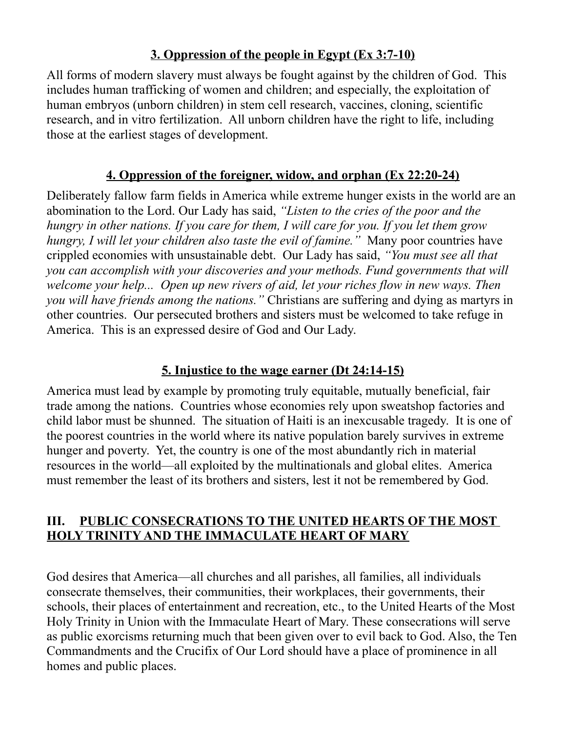# **3. Oppression of the people in Egypt (Ex 3:7-10)**

All forms of modern slavery must always be fought against by the children of God. This includes human trafficking of women and children; and especially, the exploitation of human embryos (unborn children) in stem cell research, vaccines, cloning, scientific research, and in vitro fertilization. All unborn children have the right to life, including those at the earliest stages of development.

# **4. Oppression of the foreigner, widow, and orphan (Ex 22:20-24)**

Deliberately fallow farm fields in America while extreme hunger exists in the world are an abomination to the Lord. Our Lady has said, *"Listen to the cries of the poor and the hungry in other nations. If you care for them, I will care for you. If you let them grow hungry, I will let your children also taste the evil of famine."* Many poor countries have crippled economies with unsustainable debt. Our Lady has said, *"You must see all that you can accomplish with your discoveries and your methods. Fund governments that will welcome your help... Open up new rivers of aid, let your riches flow in new ways. Then you will have friends among the nations."* Christians are suffering and dying as martyrs in other countries. Our persecuted brothers and sisters must be welcomed to take refuge in America. This is an expressed desire of God and Our Lady.

# **5. Injustice to the wage earner (Dt 24:14-15)**

America must lead by example by promoting truly equitable, mutually beneficial, fair trade among the nations. Countries whose economies rely upon sweatshop factories and child labor must be shunned. The situation of Haiti is an inexcusable tragedy. It is one of the poorest countries in the world where its native population barely survives in extreme hunger and poverty. Yet, the country is one of the most abundantly rich in material resources in the world—all exploited by the multinationals and global elites. America must remember the least of its brothers and sisters, lest it not be remembered by God.

# **III. PUBLIC CONSECRATIONS TO THE UNITED HEARTS OF THE MOST HOLY TRINITY AND THE IMMACULATE HEART OF MARY**

God desires that America—all churches and all parishes, all families, all individuals consecrate themselves, their communities, their workplaces, their governments, their schools, their places of entertainment and recreation, etc., to the United Hearts of the Most Holy Trinity in Union with the Immaculate Heart of Mary. These consecrations will serve as public exorcisms returning much that been given over to evil back to God. Also, the Ten Commandments and the Crucifix of Our Lord should have a place of prominence in all homes and public places.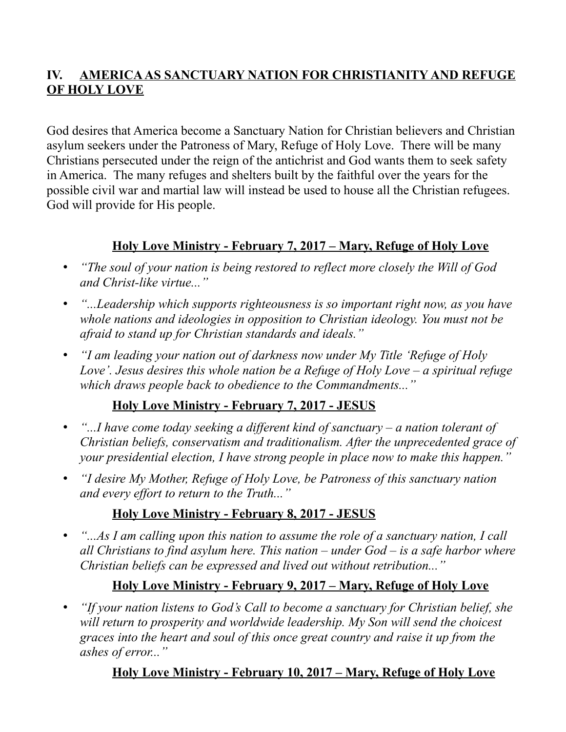# **IV. AMERICA AS SANCTUARY NATION FOR CHRISTIANITY AND REFUGE OF HOLY LOVE**

God desires that America become a Sanctuary Nation for Christian believers and Christian asylum seekers under the Patroness of Mary, Refuge of Holy Love. There will be many Christians persecuted under the reign of the antichrist and God wants them to seek safety in America. The many refuges and shelters built by the faithful over the years for the possible civil war and martial law will instead be used to house all the Christian refugees. God will provide for His people.

# **Holy Love Ministry - February 7, 2017 – Mary, Refuge of Holy Love**

- *"The soul of your nation is being restored to reflect more closely the Will of God and Christ-like virtue..."*
- *"...Leadership which supports righteousness is so important right now, as you have whole nations and ideologies in opposition to Christian ideology. You must not be afraid to stand up for Christian standards and ideals."*
- *"I am leading your nation out of darkness now under My Title 'Refuge of Holy Love'. Jesus desires this whole nation be a Refuge of Holy Love – a spiritual refuge which draws people back to obedience to the Commandments..."*

# **Holy Love Ministry - February 7, 2017 - JESUS**

- *"...I have come today seeking a different kind of sanctuary a nation tolerant of Christian beliefs, conservatism and traditionalism. After the unprecedented grace of your presidential election, I have strong people in place now to make this happen."*
- *"I desire My Mother, Refuge of Holy Love, be Patroness of this sanctuary nation and every effort to return to the Truth..."*

# **Holy Love Ministry - February 8, 2017 - JESUS**

• *"...As I am calling upon this nation to assume the role of a sanctuary nation, I call all Christians to find asylum here. This nation – under God – is a safe harbor where Christian beliefs can be expressed and lived out without retribution..."*

# **Holy Love Ministry - February 9, 2017 – Mary, Refuge of Holy Love**

• *"If your nation listens to God's Call to become a sanctuary for Christian belief, she will return to prosperity and worldwide leadership. My Son will send the choicest graces into the heart and soul of this once great country and raise it up from the ashes of error..."*

# **Holy Love Ministry - February 10, 2017 – Mary, Refuge of Holy Love**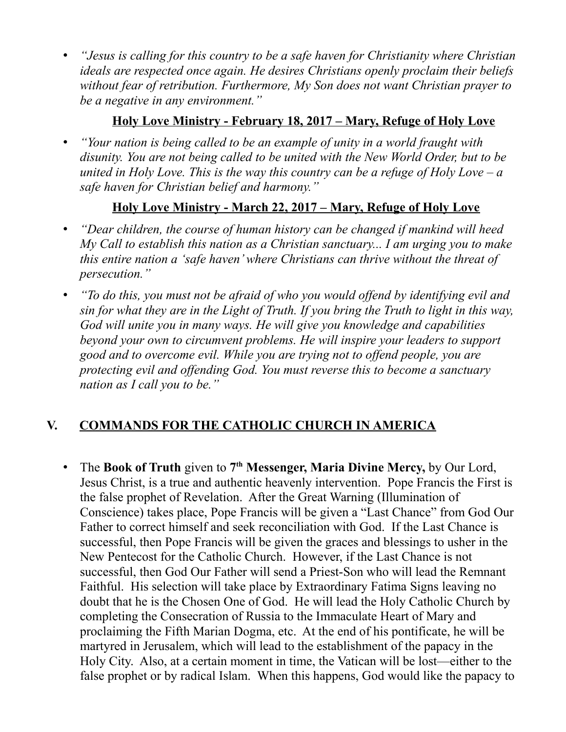• *"Jesus is calling for this country to be a safe haven for Christianity where Christian ideals are respected once again. He desires Christians openly proclaim their beliefs without fear of retribution. Furthermore, My Son does not want Christian prayer to be a negative in any environment."*

# **Holy Love Ministry - February 18, 2017 – Mary, Refuge of Holy Love**

• *"Your nation is being called to be an example of unity in a world fraught with disunity. You are not being called to be united with the New World Order, but to be united in Holy Love. This is the way this country can be a refuge of Holy Love – a safe haven for Christian belief and harmony."*

# **Holy Love Ministry - March 22, 2017 – Mary, Refuge of Holy Love**

- *"Dear children, the course of human history can be changed if mankind will heed My Call to establish this nation as a Christian sanctuary... I am urging you to make this entire nation a 'safe haven' where Christians can thrive without the threat of persecution."*
- *"To do this, you must not be afraid of who you would offend by identifying evil and sin for what they are in the Light of Truth. If you bring the Truth to light in this way, God will unite you in many ways. He will give you knowledge and capabilities beyond your own to circumvent problems. He will inspire your leaders to support good and to overcome evil. While you are trying not to offend people, you are protecting evil and offending God. You must reverse this to become a sanctuary nation as I call you to be."*

# **V. COMMANDS FOR THE CATHOLIC CHURCH IN AMERICA**

• The Book of Truth given to 7<sup>th</sup> Messenger, Maria Divine Mercy, by Our Lord, Jesus Christ, is a true and authentic heavenly intervention. Pope Francis the First is the false prophet of Revelation. After the Great Warning (Illumination of Conscience) takes place, Pope Francis will be given a "Last Chance" from God Our Father to correct himself and seek reconciliation with God. If the Last Chance is successful, then Pope Francis will be given the graces and blessings to usher in the New Pentecost for the Catholic Church. However, if the Last Chance is not successful, then God Our Father will send a Priest-Son who will lead the Remnant Faithful. His selection will take place by Extraordinary Fatima Signs leaving no doubt that he is the Chosen One of God. He will lead the Holy Catholic Church by completing the Consecration of Russia to the Immaculate Heart of Mary and proclaiming the Fifth Marian Dogma, etc. At the end of his pontificate, he will be martyred in Jerusalem, which will lead to the establishment of the papacy in the Holy City. Also, at a certain moment in time, the Vatican will be lost—either to the false prophet or by radical Islam. When this happens, God would like the papacy to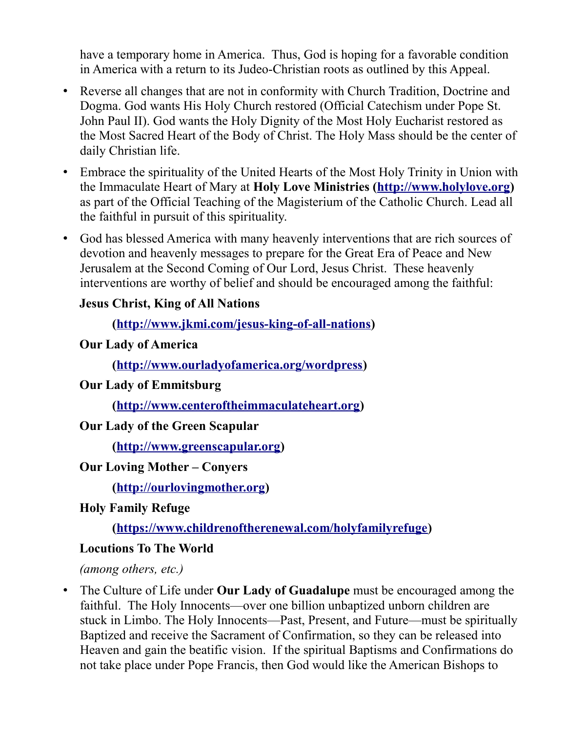have a temporary home in America. Thus, God is hoping for a favorable condition in America with a return to its Judeo-Christian roots as outlined by this Appeal.

- Reverse all changes that are not in conformity with Church Tradition, Doctrine and Dogma. God wants His Holy Church restored (Official Catechism under Pope St. John Paul II). God wants the Holy Dignity of the Most Holy Eucharist restored as the Most Sacred Heart of the Body of Christ. The Holy Mass should be the center of daily Christian life.
- Embrace the spirituality of the United Hearts of the Most Holy Trinity in Union with the Immaculate Heart of Mary at **Holy Love Ministries [\(http://www.holylove.org\)](http://www.holylove.org/)** as part of the Official Teaching of the Magisterium of the Catholic Church. Lead all the faithful in pursuit of this spirituality.
- God has blessed America with many heavenly interventions that are rich sources of devotion and heavenly messages to prepare for the Great Era of Peace and New Jerusalem at the Second Coming of Our Lord, Jesus Christ. These heavenly interventions are worthy of belief and should be encouraged among the faithful:

# **Jesus Christ, King of All Nations**

**[\( http://www.jkmi.com/jesus-king-of-all](http://www.jkmi.com/jesus-king-of-all)[-nations\)](http://www.jkmi.com/jesus-king-of-all-nations)** 

### **Our Lady of America**

**[\(http://www.ourladyofamerica.org/wordpress\)](http://www.ourladyofamerica.org/wordpress/)** 

**Our Lady of Emmitsburg**

**[\(http://www.centeroftheimmaculateheart.org\)](http://www.centeroftheimmaculateheart.org/)** 

**Our Lady of the Green Scapular**

**[\(http://www.greenscapular.org\)](http://www.greenscapular.org/)** 

# **Our Loving Mother – Conyers**

**[\(http://ourlovingmother.org\)](http://ourlovingmother.org/)**

**Holy Family Refuge**

**[\(https://www.childrenoftherenewal.com/holyfamilyrefuge\)](https://www.childrenoftherenewal.com/holyfamilyrefuge)**

# **Locutions To The World**

*(among others, etc.)*

• The Culture of Life under **Our Lady of Guadalupe** must be encouraged among the faithful. The Holy Innocents—over one billion unbaptized unborn children are stuck in Limbo. The Holy Innocents—Past, Present, and Future—must be spiritually Baptized and receive the Sacrament of Confirmation, so they can be released into Heaven and gain the beatific vision. If the spiritual Baptisms and Confirmations do not take place under Pope Francis, then God would like the American Bishops to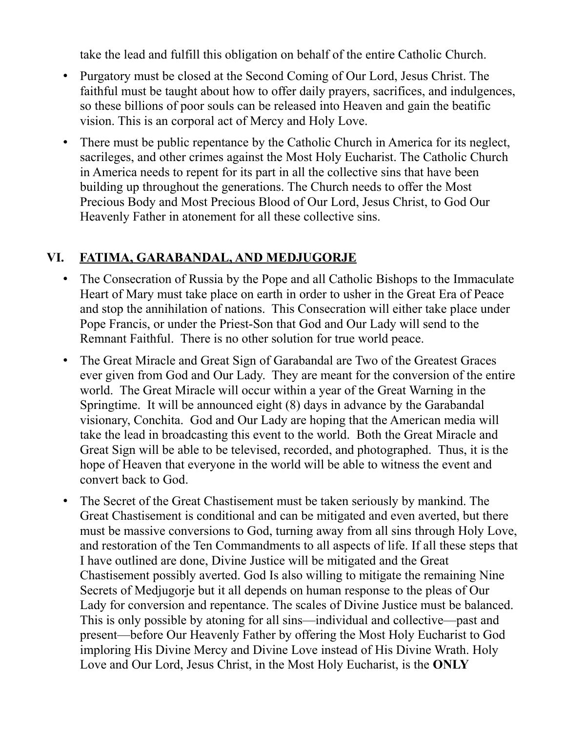take the lead and fulfill this obligation on behalf of the entire Catholic Church.

- Purgatory must be closed at the Second Coming of Our Lord, Jesus Christ. The faithful must be taught about how to offer daily prayers, sacrifices, and indulgences, so these billions of poor souls can be released into Heaven and gain the beatific vision. This is an corporal act of Mercy and Holy Love.
- There must be public repentance by the Catholic Church in America for its neglect, sacrileges, and other crimes against the Most Holy Eucharist. The Catholic Church in America needs to repent for its part in all the collective sins that have been building up throughout the generations. The Church needs to offer the Most Precious Body and Most Precious Blood of Our Lord, Jesus Christ, to God Our Heavenly Father in atonement for all these collective sins.

# **VI. FATIMA, GARABANDAL, AND MEDJUGORJE**

- The Consecration of Russia by the Pope and all Catholic Bishops to the Immaculate Heart of Mary must take place on earth in order to usher in the Great Era of Peace and stop the annihilation of nations. This Consecration will either take place under Pope Francis, or under the Priest-Son that God and Our Lady will send to the Remnant Faithful. There is no other solution for true world peace.
- The Great Miracle and Great Sign of Garabandal are Two of the Greatest Graces ever given from God and Our Lady. They are meant for the conversion of the entire world. The Great Miracle will occur within a year of the Great Warning in the Springtime. It will be announced eight (8) days in advance by the Garabandal visionary, Conchita. God and Our Lady are hoping that the American media will take the lead in broadcasting this event to the world. Both the Great Miracle and Great Sign will be able to be televised, recorded, and photographed. Thus, it is the hope of Heaven that everyone in the world will be able to witness the event and convert back to God.
- The Secret of the Great Chastisement must be taken seriously by mankind. The Great Chastisement is conditional and can be mitigated and even averted, but there must be massive conversions to God, turning away from all sins through Holy Love, and restoration of the Ten Commandments to all aspects of life. If all these steps that I have outlined are done, Divine Justice will be mitigated and the Great Chastisement possibly averted. God Is also willing to mitigate the remaining Nine Secrets of Medjugorje but it all depends on human response to the pleas of Our Lady for conversion and repentance. The scales of Divine Justice must be balanced. This is only possible by atoning for all sins—individual and collective—past and present—before Our Heavenly Father by offering the Most Holy Eucharist to God imploring His Divine Mercy and Divine Love instead of His Divine Wrath. Holy Love and Our Lord, Jesus Christ, in the Most Holy Eucharist, is the **ONLY**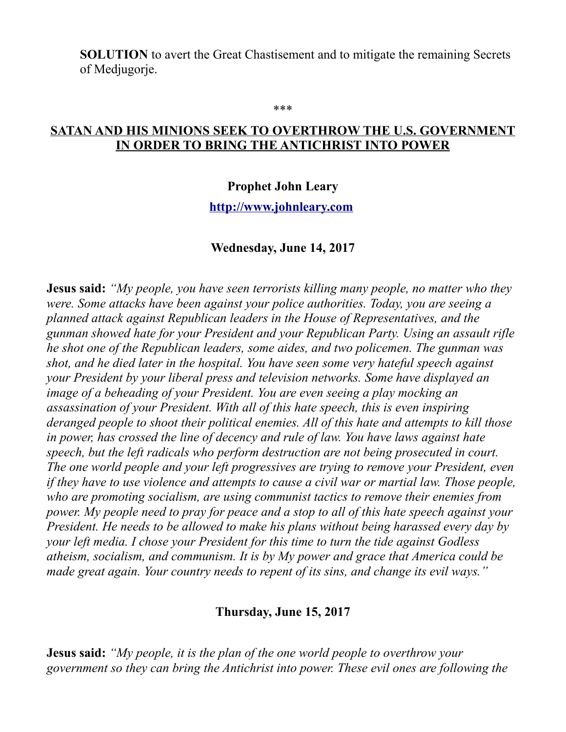**SOLUTION** to avert the Great Chastisement and to mitigate the remaining Secrets of Medjugorje.

#### \*\*\*

### **SATAN AND HIS MINIONS SEEK TO OVERTHROW THE U.S. GOVERNMENT IN ORDER TO BRING THE ANTICHRIST INTO POWER**

#### **Prophet John Leary**

**[http://www.johnleary.com](http://www.johnleary.com/)**

#### **Wednesday, June 14, 2017**

**Jesus said:** *"My people, you have seen terrorists killing many people, no matter who they were. Some attacks have been against your police authorities. Today, you are seeing a planned attack against Republican leaders in the House of Representatives, and the gunman showed hate for your President and your Republican Party. Using an assault rifle he shot one of the Republican leaders, some aides, and two policemen. The gunman was shot, and he died later in the hospital. You have seen some very hateful speech against your President by your liberal press and television networks. Some have displayed an image of a beheading of your President. You are even seeing a play mocking an assassination of your President. With all of this hate speech, this is even inspiring deranged people to shoot their political enemies. All of this hate and attempts to kill those in power, has crossed the line of decency and rule of law. You have laws against hate speech, but the left radicals who perform destruction are not being prosecuted in court. The one world people and your left progressives are trying to remove your President, even if they have to use violence and attempts to cause a civil war or martial law. Those people, who are promoting socialism, are using communist tactics to remove their enemies from power. My people need to pray for peace and a stop to all of this hate speech against your President. He needs to be allowed to make his plans without being harassed every day by your left media. I chose your President for this time to turn the tide against Godless atheism, socialism, and communism. It is by My power and grace that America could be made great again. Your country needs to repent of its sins, and change its evil ways."*

### **Thursday, June 15, 2017**

**Jesus said:** *"My people, it is the plan of the one world people to overthrow your government so they can bring the Antichrist into power. These evil ones are following the*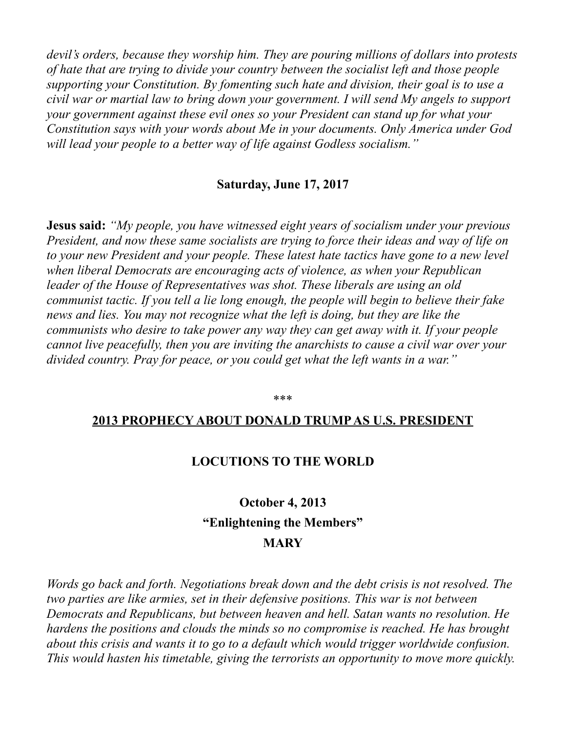*devil's orders, because they worship him. They are pouring millions of dollars into protests of hate that are trying to divide your country between the socialist left and those people supporting your Constitution. By fomenting such hate and division, their goal is to use a civil war or martial law to bring down your government. I will send My angels to support your government against these evil ones so your President can stand up for what your Constitution says with your words about Me in your documents. Only America under God will lead your people to a better way of life against Godless socialism."*

### **Saturday, June 17, 2017**

**Jesus said:** *"My people, you have witnessed eight years of socialism under your previous President, and now these same socialists are trying to force their ideas and way of life on to your new President and your people. These latest hate tactics have gone to a new level when liberal Democrats are encouraging acts of violence, as when your Republican leader of the House of Representatives was shot. These liberals are using an old communist tactic. If you tell a lie long enough, the people will begin to believe their fake news and lies. You may not recognize what the left is doing, but they are like the communists who desire to take power any way they can get away with it. If your people cannot live peacefully, then you are inviting the anarchists to cause a civil war over your divided country. Pray for peace, or you could get what the left wants in a war."*

\*\*\*

#### **2013 PROPHECY ABOUT DONALD TRUMP AS U.S. PRESIDENT**

#### **LOCUTIONS TO THE WORLD**

# **October 4, 2013 "Enlightening the Members"**

### **MARY**

*Words go back and forth. Negotiations break down and the debt crisis is not resolved. The two parties are like armies, set in their defensive positions. This war is not between Democrats and Republicans, but between heaven and hell. Satan wants no resolution. He hardens the positions and clouds the minds so no compromise is reached. He has brought about this crisis and wants it to go to a default which would trigger worldwide confusion. This would hasten his timetable, giving the terrorists an opportunity to move more quickly.*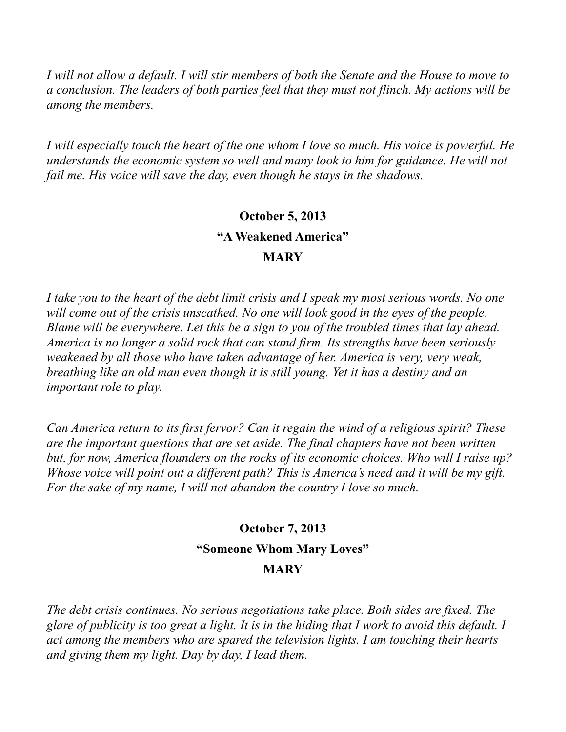*I* will not allow a default. *I* will stir members of both the Senate and the House to move to *a conclusion. The leaders of both parties feel that they must not flinch. My actions will be among the members.*

*I will especially touch the heart of the one whom I love so much. His voice is powerful. He understands the economic system so well and many look to him for guidance. He will not fail me. His voice will save the day, even though he stays in the shadows.*

# **October 5, 2013 "A Weakened America" MARY**

*I take you to the heart of the debt limit crisis and I speak my most serious words. No one will come out of the crisis unscathed. No one will look good in the eyes of the people. Blame will be everywhere. Let this be a sign to you of the troubled times that lay ahead. America is no longer a solid rock that can stand firm. Its strengths have been seriously weakened by all those who have taken advantage of her. America is very, very weak, breathing like an old man even though it is still young. Yet it has a destiny and an important role to play.*

*Can America return to its first fervor? Can it regain the wind of a religious spirit? These are the important questions that are set aside. The final chapters have not been written but, for now, America flounders on the rocks of its economic choices. Who will I raise up? Whose voice will point out a different path? This is America's need and it will be my gift. For the sake of my name, I will not abandon the country I love so much.*

# **October 7, 2013 "Someone Whom Mary Loves" MARY**

*The debt crisis continues. No serious negotiations take place. Both sides are fixed. The glare of publicity is too great a light. It is in the hiding that I work to avoid this default. I act among the members who are spared the television lights. I am touching their hearts and giving them my light. Day by day, I lead them.*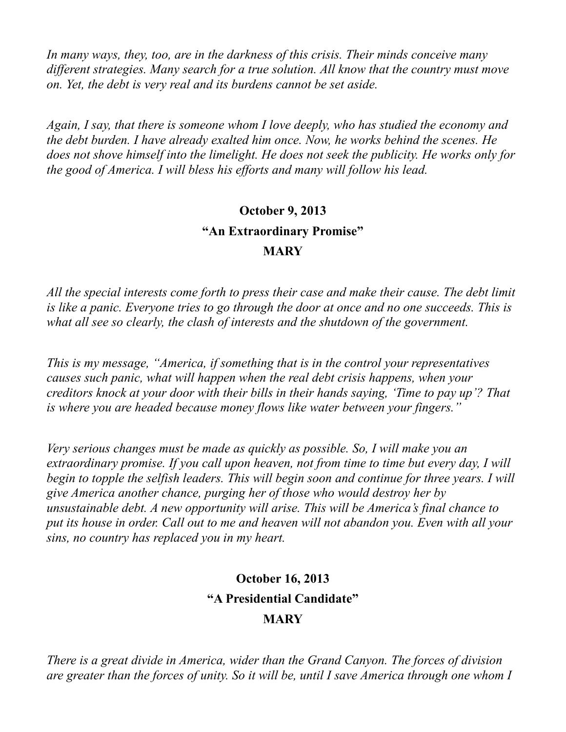*In many ways, they, too, are in the darkness of this crisis. Their minds conceive many different strategies. Many search for a true solution. All know that the country must move on. Yet, the debt is very real and its burdens cannot be set aside.*

*Again, I say, that there is someone whom I love deeply, who has studied the economy and the debt burden. I have already exalted him once. Now, he works behind the scenes. He does not shove himself into the limelight. He does not seek the publicity. He works only for the good of America. I will bless his efforts and many will follow his lead.*

# **October 9, 2013 "An Extraordinary Promise" MARY**

*All the special interests come forth to press their case and make their cause. The debt limit is like a panic. Everyone tries to go through the door at once and no one succeeds. This is what all see so clearly, the clash of interests and the shutdown of the government.*

*This is my message, "America, if something that is in the control your representatives causes such panic, what will happen when the real debt crisis happens, when your creditors knock at your door with their bills in their hands saying, 'Time to pay up'? That is where you are headed because money flows like water between your fingers."*

*Very serious changes must be made as quickly as possible. So, I will make you an extraordinary promise. If you call upon heaven, not from time to time but every day, I will begin to topple the selfish leaders. This will begin soon and continue for three years. I will give America another chance, purging her of those who would destroy her by unsustainable debt. A new opportunity will arise. This will be America's final chance to put its house in order. Call out to me and heaven will not abandon you. Even with all your sins, no country has replaced you in my heart.*

# **October 16, 2013 "A Presidential Candidate" MARY**

*There is a great divide in America, wider than the Grand Canyon. The forces of division are greater than the forces of unity. So it will be, until I save America through one whom I*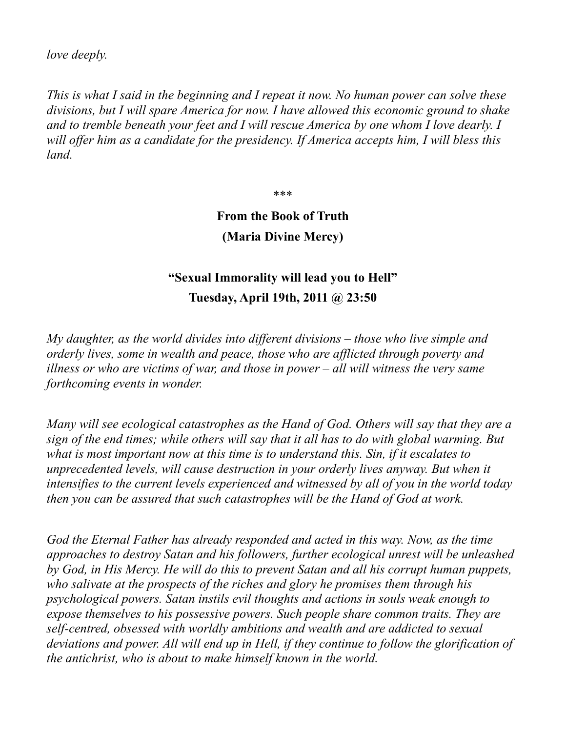*love deeply.*

*This is what I said in the beginning and I repeat it now. No human power can solve these divisions, but I will spare America for now. I have allowed this economic ground to shake and to tremble beneath your feet and I will rescue America by one whom I love dearly. I will offer him as a candidate for the presidency. If America accepts him, I will bless this land.*

\*\*\*

# **From the Book of Truth (Maria Divine Mercy)**

# **"Sexual Immorality will lead you to Hell" Tuesday, April 19th, 2011 @ 23:50**

*My daughter, as the world divides into different divisions – those who live simple and orderly lives, some in wealth and peace, those who are afflicted through poverty and illness or who are victims of war, and those in power – all will witness the very same forthcoming events in wonder.*

*Many will see ecological catastrophes as the Hand of God. Others will say that they are a sign of the end times; while others will say that it all has to do with global warming. But what is most important now at this time is to understand this. Sin, if it escalates to unprecedented levels, will cause destruction in your orderly lives anyway. But when it intensifies to the current levels experienced and witnessed by all of you in the world today then you can be assured that such catastrophes will be the Hand of God at work.*

God the Eternal Father has already responded and acted in this way. Now, as the time *approaches to destroy Satan and his followers, further ecological unrest will be unleashed by God, in His Mercy. He will do this to prevent Satan and all his corrupt human puppets, who salivate at the prospects of the riches and glory he promises them through his psychological powers. Satan instils evil thoughts and actions in souls weak enough to expose themselves to his possessive powers. Such people share common traits. They are self-centred, obsessed with worldly ambitions and wealth and are addicted to sexual deviations and power. All will end up in Hell, if they continue to follow the glorification of the antichrist, who is about to make himself known in the world.*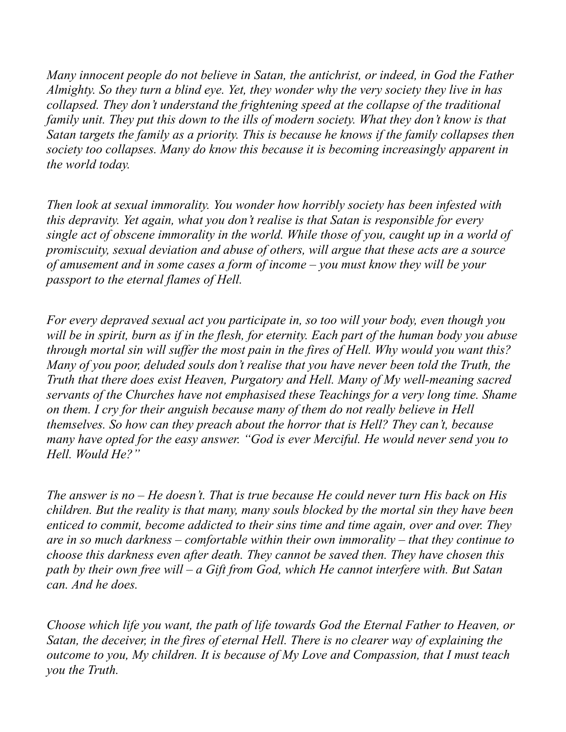*Many innocent people do not believe in Satan, the antichrist, or indeed, in God the Father Almighty. So they turn a blind eye. Yet, they wonder why the very society they live in has collapsed. They don't understand the frightening speed at the collapse of the traditional family unit. They put this down to the ills of modern society. What they don't know is that Satan targets the family as a priority. This is because he knows if the family collapses then society too collapses. Many do know this because it is becoming increasingly apparent in the world today.*

*Then look at sexual immorality. You wonder how horribly society has been infested with this depravity. Yet again, what you don't realise is that Satan is responsible for every single act of obscene immorality in the world. While those of you, caught up in a world of promiscuity, sexual deviation and abuse of others, will argue that these acts are a source of amusement and in some cases a form of income – you must know they will be your passport to the eternal flames of Hell.*

*For every depraved sexual act you participate in, so too will your body, even though you will be in spirit, burn as if in the flesh, for eternity. Each part of the human body you abuse through mortal sin will suffer the most pain in the fires of Hell. Why would you want this? Many of you poor, deluded souls don't realise that you have never been told the Truth, the Truth that there does exist Heaven, Purgatory and Hell. Many of My well-meaning sacred servants of the Churches have not emphasised these Teachings for a very long time. Shame on them. I cry for their anguish because many of them do not really believe in Hell themselves. So how can they preach about the horror that is Hell? They can't, because many have opted for the easy answer. "God is ever Merciful. He would never send you to Hell. Would He?"*

*The answer is no – He doesn't. That is true because He could never turn His back on His children. But the reality is that many, many souls blocked by the mortal sin they have been enticed to commit, become addicted to their sins time and time again, over and over. They are in so much darkness – comfortable within their own immorality – that they continue to choose this darkness even after death. They cannot be saved then. They have chosen this path by their own free will – a Gift from God, which He cannot interfere with. But Satan can. And he does.*

*Choose which life you want, the path of life towards God the Eternal Father to Heaven, or Satan, the deceiver, in the fires of eternal Hell. There is no clearer way of explaining the outcome to you, My children. It is because of My Love and Compassion, that I must teach you the Truth.*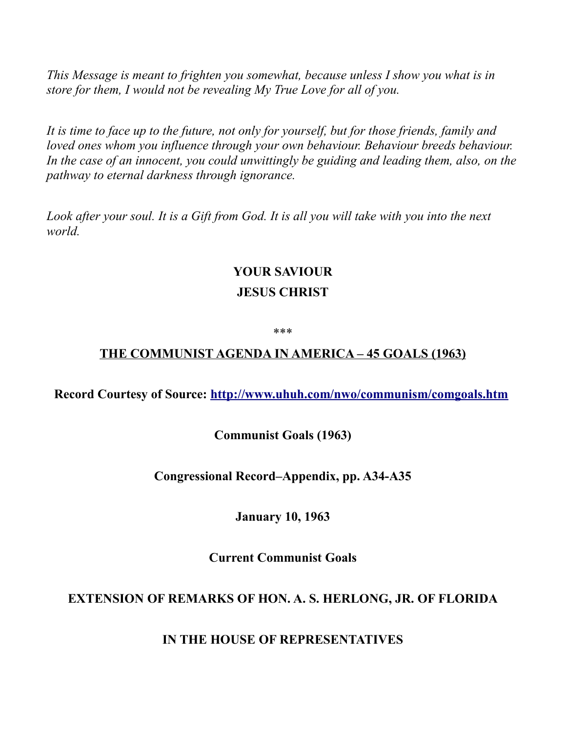*This Message is meant to frighten you somewhat, because unless I show you what is in store for them, I would not be revealing My True Love for all of you.*

*It is time to face up to the future, not only for yourself, but for those friends, family and loved ones whom you influence through your own behaviour. Behaviour breeds behaviour. In the case of an innocent, you could unwittingly be guiding and leading them, also, on the pathway to eternal darkness through ignorance.*

*Look after your soul. It is a Gift from God. It is all you will take with you into the next world.*

# **YOUR SAVIOUR**

### **JESUS CHRIST**

#### \*\*\*

# **THE COMMUNIST AGENDA IN AMERICA – 45 GOALS (1963)**

#### **Record Courtesy of Source:<http://www.uhuh.com/nwo/communism/comgoals.htm>**

### **Communist Goals (1963)**

### **Congressional Record–Appendix, pp. A34-A35**

**January 10, 1963**

**Current Communist Goals**

# **EXTENSION OF REMARKS OF HON. A. S. HERLONG, JR. OF FLORIDA**

**IN THE HOUSE OF REPRESENTATIVES**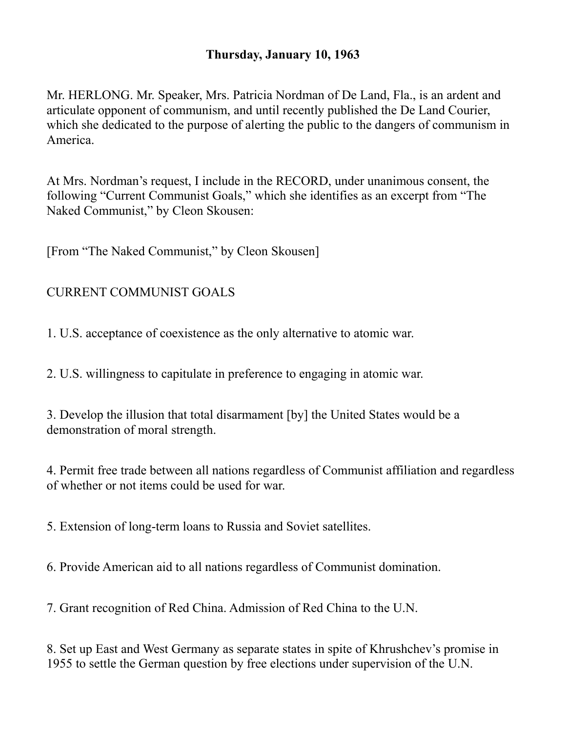# **Thursday, January 10, 1963**

Mr. HERLONG. Mr. Speaker, Mrs. Patricia Nordman of De Land, Fla., is an ardent and articulate opponent of communism, and until recently published the De Land Courier, which she dedicated to the purpose of alerting the public to the dangers of communism in America.

At Mrs. Nordman's request, I include in the RECORD, under unanimous consent, the following "Current Communist Goals," which she identifies as an excerpt from "The Naked Communist," by Cleon Skousen:

[From "The Naked Communist," by Cleon Skousen]

### CURRENT COMMUNIST GOALS

1. U.S. acceptance of coexistence as the only alternative to atomic war.

2. U.S. willingness to capitulate in preference to engaging in atomic war.

3. Develop the illusion that total disarmament [by] the United States would be a demonstration of moral strength.

4. Permit free trade between all nations regardless of Communist affiliation and regardless of whether or not items could be used for war.

5. Extension of long-term loans to Russia and Soviet satellites.

6. Provide American aid to all nations regardless of Communist domination.

7. Grant recognition of Red China. Admission of Red China to the U.N.

8. Set up East and West Germany as separate states in spite of Khrushchev's promise in 1955 to settle the German question by free elections under supervision of the U.N.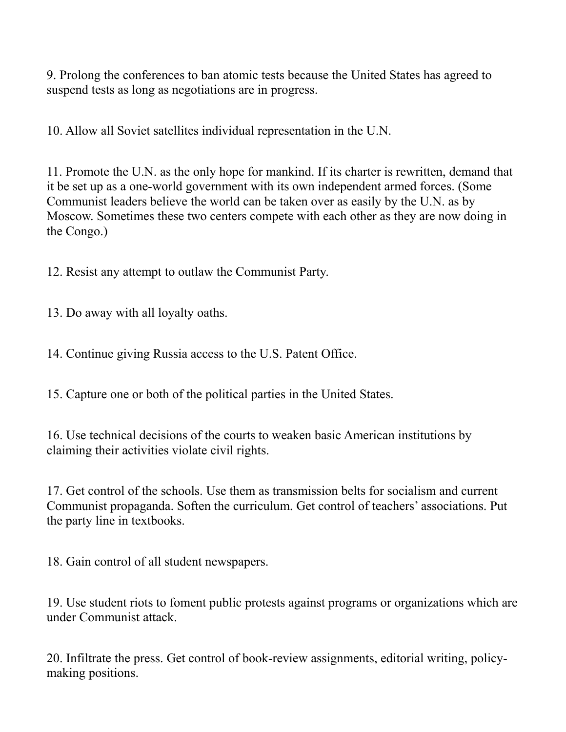9. Prolong the conferences to ban atomic tests because the United States has agreed to suspend tests as long as negotiations are in progress.

10. Allow all Soviet satellites individual representation in the U.N.

11. Promote the U.N. as the only hope for mankind. If its charter is rewritten, demand that it be set up as a one-world government with its own independent armed forces. (Some Communist leaders believe the world can be taken over as easily by the U.N. as by Moscow. Sometimes these two centers compete with each other as they are now doing in the Congo.)

12. Resist any attempt to outlaw the Communist Party.

13. Do away with all loyalty oaths.

14. Continue giving Russia access to the U.S. Patent Office.

15. Capture one or both of the political parties in the United States.

16. Use technical decisions of the courts to weaken basic American institutions by claiming their activities violate civil rights.

17. Get control of the schools. Use them as transmission belts for socialism and current Communist propaganda. Soften the curriculum. Get control of teachers' associations. Put the party line in textbooks.

18. Gain control of all student newspapers.

19. Use student riots to foment public protests against programs or organizations which are under Communist attack.

20. Infiltrate the press. Get control of book-review assignments, editorial writing, policymaking positions.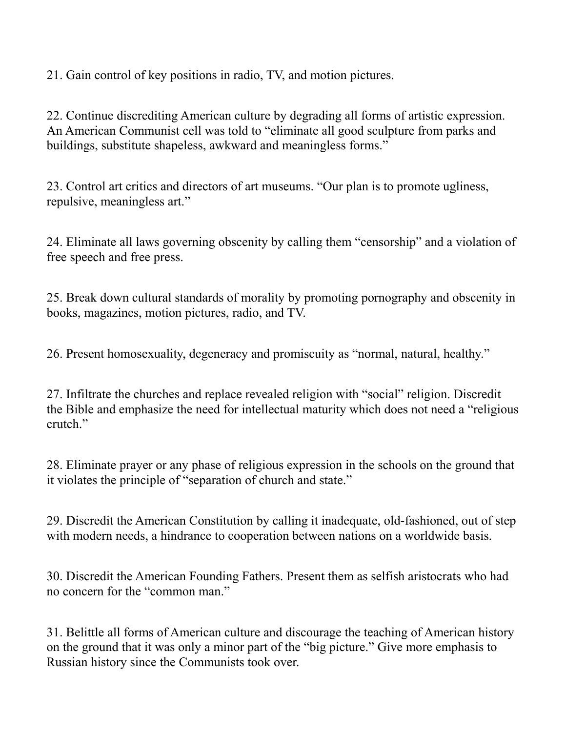21. Gain control of key positions in radio, TV, and motion pictures.

22. Continue discrediting American culture by degrading all forms of artistic expression. An American Communist cell was told to "eliminate all good sculpture from parks and buildings, substitute shapeless, awkward and meaningless forms."

23. Control art critics and directors of art museums. "Our plan is to promote ugliness, repulsive, meaningless art."

24. Eliminate all laws governing obscenity by calling them "censorship" and a violation of free speech and free press.

25. Break down cultural standards of morality by promoting pornography and obscenity in books, magazines, motion pictures, radio, and TV.

26. Present homosexuality, degeneracy and promiscuity as "normal, natural, healthy."

27. Infiltrate the churches and replace revealed religion with "social" religion. Discredit the Bible and emphasize the need for intellectual maturity which does not need a "religious crutch."

28. Eliminate prayer or any phase of religious expression in the schools on the ground that it violates the principle of "separation of church and state."

29. Discredit the American Constitution by calling it inadequate, old-fashioned, out of step with modern needs, a hindrance to cooperation between nations on a worldwide basis.

30. Discredit the American Founding Fathers. Present them as selfish aristocrats who had no concern for the "common man."

31. Belittle all forms of American culture and discourage the teaching of American history on the ground that it was only a minor part of the "big picture." Give more emphasis to Russian history since the Communists took over.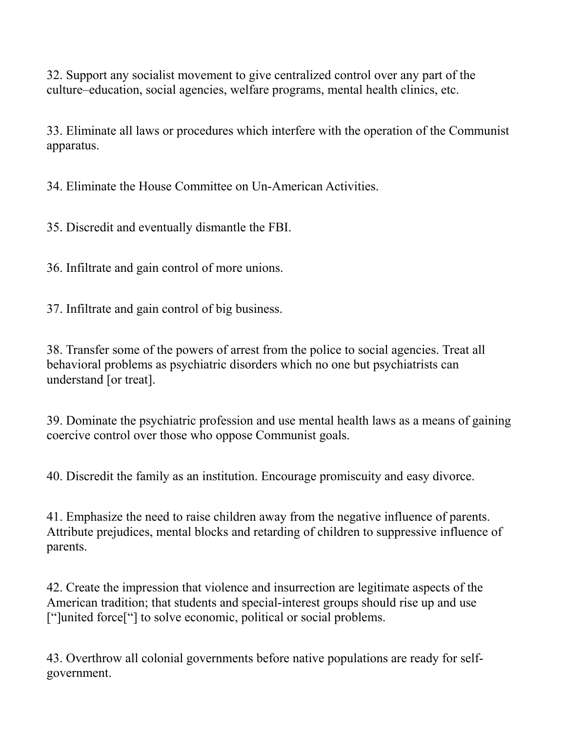32. Support any socialist movement to give centralized control over any part of the culture–education, social agencies, welfare programs, mental health clinics, etc.

33. Eliminate all laws or procedures which interfere with the operation of the Communist apparatus.

34. Eliminate the House Committee on Un-American Activities.

35. Discredit and eventually dismantle the FBI.

36. Infiltrate and gain control of more unions.

37. Infiltrate and gain control of big business.

38. Transfer some of the powers of arrest from the police to social agencies. Treat all behavioral problems as psychiatric disorders which no one but psychiatrists can understand [or treat].

39. Dominate the psychiatric profession and use mental health laws as a means of gaining coercive control over those who oppose Communist goals.

40. Discredit the family as an institution. Encourage promiscuity and easy divorce.

41. Emphasize the need to raise children away from the negative influence of parents. Attribute prejudices, mental blocks and retarding of children to suppressive influence of parents.

42. Create the impression that violence and insurrection are legitimate aspects of the American tradition; that students and special-interest groups should rise up and use ["]united force]"] to solve economic, political or social problems.

43. Overthrow all colonial governments before native populations are ready for selfgovernment.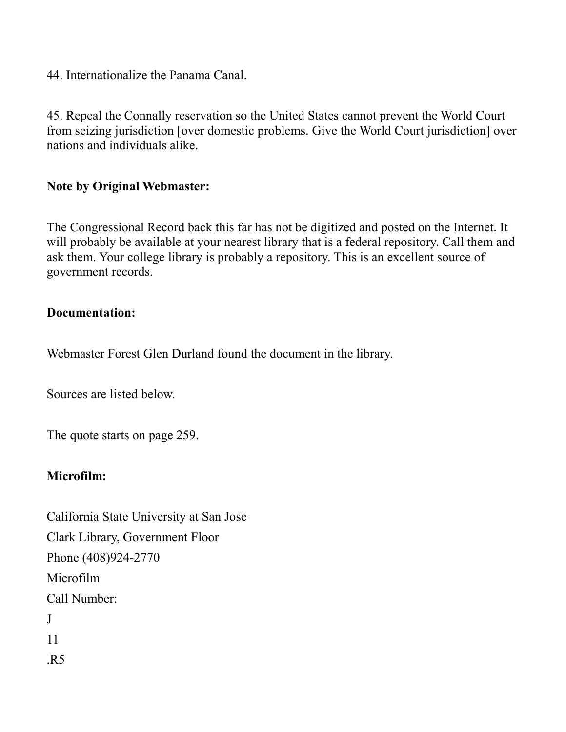44. Internationalize the Panama Canal.

45. Repeal the Connally reservation so the United States cannot prevent the World Court from seizing jurisdiction [over domestic problems. Give the World Court jurisdiction] over nations and individuals alike.

# **Note by Original Webmaster:**

The Congressional Record back this far has not be digitized and posted on the Internet. It will probably be available at your nearest library that is a federal repository. Call them and ask them. Your college library is probably a repository. This is an excellent source of government records.

### **Documentation:**

Webmaster Forest Glen Durland found the document in the library.

Sources are listed below.

The quote starts on page 259.

# **Microfilm:**

California State University at San Jose Clark Library, Government Floor Phone (408)924-2770 Microfilm Call Number: J 11 .R5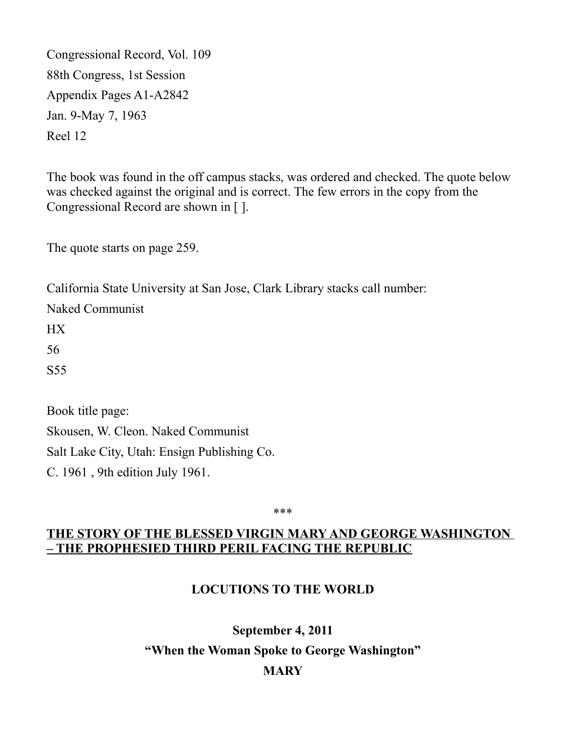Congressional Record, Vol. 109 88th Congress, 1st Session Appendix Pages A1-A2842 Jan. 9-May 7, 1963 Reel 12

The book was found in the off campus stacks, was ordered and checked. The quote below was checked against the original and is correct. The few errors in the copy from the Congressional Record are shown in [ ].

The quote starts on page 259.

California State University at San Jose, Clark Library stacks call number:

Naked Communist HX 56 S55

Book title page: Skousen, W. Cleon. Naked Communist Salt Lake City, Utah: Ensign Publishing Co. C. 1961 , 9th edition July 1961.

\*\*\*

### **THE STORY OF THE BLESSED VIRGIN MARY AND GEORGE WASHINGTON – THE PROPHESIED THIRD PERIL FACING THE REPUBLIC**

# **LOCUTIONS TO THE WORLD**

# **September 4, 2011 "When the Woman Spoke to George Washington" MARY**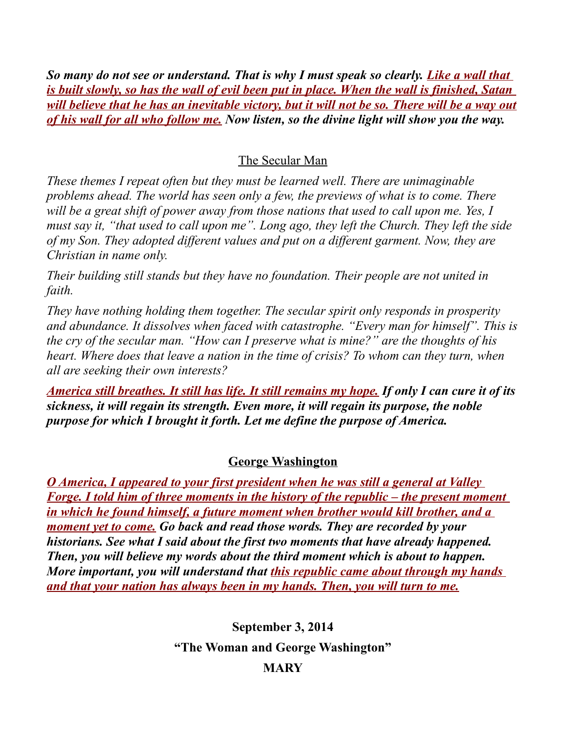*So many do not see or understand. That is why I must speak so clearly. Like a wall that is built slowly, so has the wall of evil been put in place. When the wall is finished, Satan will believe that he has an inevitable victory, but it will not be so. There will be a way out of his wall for all who follow me. Now listen, so the divine light will show you the way.*

### The Secular Man

*These themes I repeat often but they must be learned well. There are unimaginable problems ahead. The world has seen only a few, the previews of what is to come. There will be a great shift of power away from those nations that used to call upon me. Yes, I must say it, "that used to call upon me". Long ago, they left the Church. They left the side of my Son. They adopted different values and put on a different garment. Now, they are Christian in name only.*

*Their building still stands but they have no foundation. Their people are not united in faith.*

*They have nothing holding them together. The secular spirit only responds in prosperity and abundance. It dissolves when faced with catastrophe. "Every man for himself". This is the cry of the secular man. "How can I preserve what is mine?" are the thoughts of his heart. Where does that leave a nation in the time of crisis? To whom can they turn, when all are seeking their own interests?*

*America still breathes. It still has life. It still remains my hope. If only I can cure it of its sickness, it will regain its strength. Even more, it will regain its purpose, the noble purpose for which I brought it forth. Let me define the purpose of America.*

#### **George Washington**

*O America, I appeared to your first president when he was still a general at Valley Forge. I told him of three moments in the history of the republic – the present moment in which he found himself, a future moment when brother would kill brother, and a moment yet to come. Go back and read those words. They are recorded by your historians. See what I said about the first two moments that have already happened. Then, you will believe my words about the third moment which is about to happen. More important, you will understand that this republic came about through my hands and that your nation has always been in my hands. Then, you will turn to me.*

> **September 3, 2014 "The Woman and George Washington" MARY**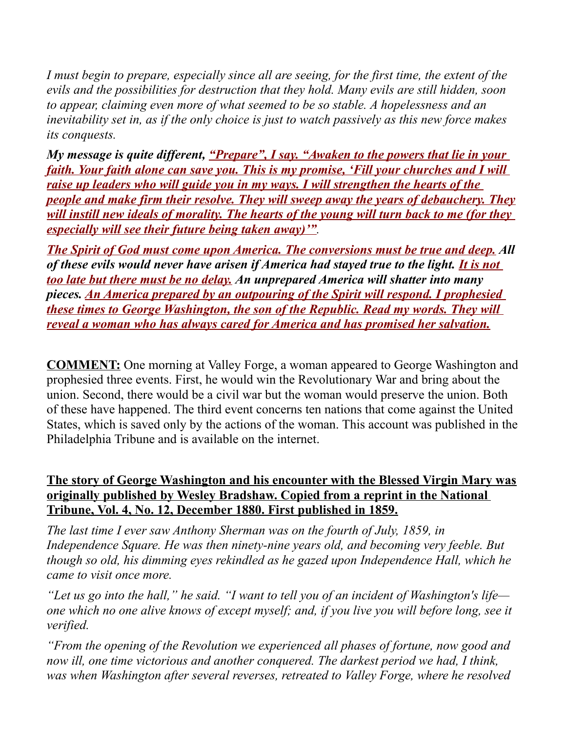*I must begin to prepare, especially since all are seeing, for the first time, the extent of the evils and the possibilities for destruction that they hold. Many evils are still hidden, soon to appear, claiming even more of what seemed to be so stable. A hopelessness and an inevitability set in, as if the only choice is just to watch passively as this new force makes its conquests.*

*My message is quite different, "Prepare", I say. "Awaken to the powers that lie in your faith. Your faith alone can save you. This is my promise, 'Fill your churches and I will raise up leaders who will guide you in my ways. I will strengthen the hearts of the people and make firm their resolve. They will sweep away the years of debauchery. They will instill new ideals of morality. The hearts of the young will turn back to me (for they especially will see their future being taken away)'".*

*The Spirit of God must come upon America. The conversions must be true and deep. All of these evils would never have arisen if America had stayed true to the light. It is not too late but there must be no delay. An unprepared America will shatter into many pieces. An America prepared by an outpouring of the Spirit will respond. I prophesied these times to George Washington, the son of the Republic. Read my words. They will reveal a woman who has always cared for America and has promised her salvation.*

**COMMENT:** One morning at Valley Forge, a woman appeared to George Washington and prophesied three events. First, he would win the Revolutionary War and bring about the union. Second, there would be a civil war but the woman would preserve the union. Both of these have happened. The third event concerns ten nations that come against the United States, which is saved only by the actions of the woman. This account was published in the Philadelphia Tribune and is available on the internet.

# **The story of George Washington and his encounter with the Blessed Virgin Mary was originally published by Wesley Bradshaw. Copied from a reprint in the National Tribune, Vol. 4, No. 12, December 1880. First published in 1859.**

*The last time I ever saw Anthony Sherman was on the fourth of July, 1859, in Independence Square. He was then ninety-nine years old, and becoming very feeble. But though so old, his dimming eyes rekindled as he gazed upon Independence Hall, which he came to visit once more.*

*"Let us go into the hall," he said. "I want to tell you of an incident of Washington's life one which no one alive knows of except myself; and, if you live you will before long, see it verified.*

*"From the opening of the Revolution we experienced all phases of fortune, now good and now ill, one time victorious and another conquered. The darkest period we had, I think, was when Washington after several reverses, retreated to Valley Forge, where he resolved*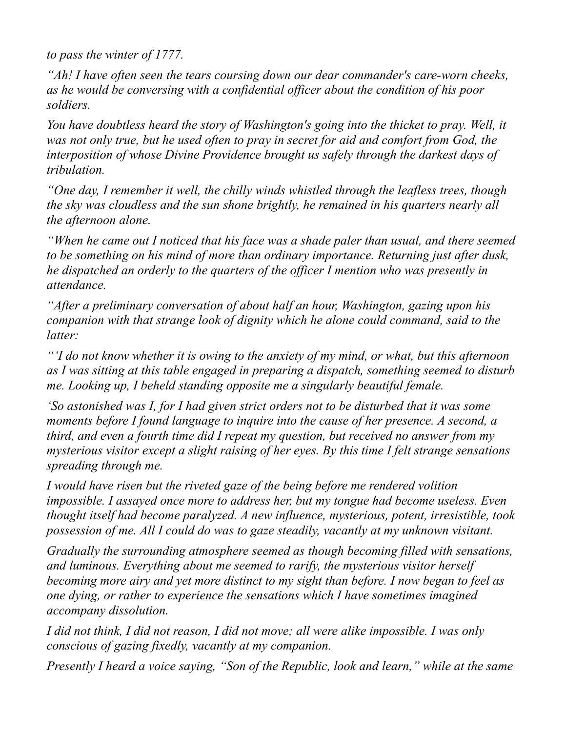*to pass the winter of 1777.*

*"Ah! I have often seen the tears coursing down our dear commander's care-worn cheeks, as he would be conversing with a confidential officer about the condition of his poor soldiers.*

*You have doubtless heard the story of Washington's going into the thicket to pray. Well, it was not only true, but he used often to pray in secret for aid and comfort from God, the interposition of whose Divine Providence brought us safely through the darkest days of tribulation.*

*"One day, I remember it well, the chilly winds whistled through the leafless trees, though the sky was cloudless and the sun shone brightly, he remained in his quarters nearly all the afternoon alone.*

*"When he came out I noticed that his face was a shade paler than usual, and there seemed to be something on his mind of more than ordinary importance. Returning just after dusk, he dispatched an orderly to the quarters of the officer I mention who was presently in attendance.*

*"After a preliminary conversation of about half an hour, Washington, gazing upon his companion with that strange look of dignity which he alone could command, said to the latter:*

*"'I do not know whether it is owing to the anxiety of my mind, or what, but this afternoon as I was sitting at this table engaged in preparing a dispatch, something seemed to disturb me. Looking up, I beheld standing opposite me a singularly beautiful female.*

*'So astonished was I, for I had given strict orders not to be disturbed that it was some moments before I found language to inquire into the cause of her presence. A second, a third, and even a fourth time did I repeat my question, but received no answer from my mysterious visitor except a slight raising of her eyes. By this time I felt strange sensations spreading through me.*

*I would have risen but the riveted gaze of the being before me rendered volition impossible. I assayed once more to address her, but my tongue had become useless. Even thought itself had become paralyzed. A new influence, mysterious, potent, irresistible, took possession of me. All I could do was to gaze steadily, vacantly at my unknown visitant.*

*Gradually the surrounding atmosphere seemed as though becoming filled with sensations, and luminous. Everything about me seemed to rarify, the mysterious visitor herself becoming more airy and yet more distinct to my sight than before. I now began to feel as one dying, or rather to experience the sensations which I have sometimes imagined accompany dissolution.*

*I did not think, I did not reason, I did not move; all were alike impossible. I was only conscious of gazing fixedly, vacantly at my companion.*

*Presently I heard a voice saying, "Son of the Republic, look and learn," while at the same*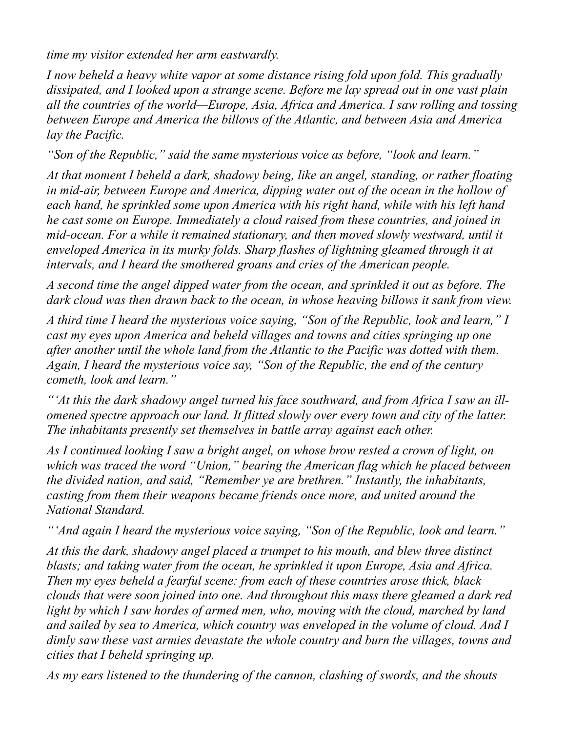*time my visitor extended her arm eastwardly.*

*I now beheld a heavy white vapor at some distance rising fold upon fold. This gradually dissipated, and I looked upon a strange scene. Before me lay spread out in one vast plain all the countries of the world—Europe, Asia, Africa and America. I saw rolling and tossing between Europe and America the billows of the Atlantic, and between Asia and America lay the Pacific.*

*"Son of the Republic," said the same mysterious voice as before, "look and learn."*

*At that moment I beheld a dark, shadowy being, like an angel, standing, or rather floating in mid-air, between Europe and America, dipping water out of the ocean in the hollow of each hand, he sprinkled some upon America with his right hand, while with his left hand he cast some on Europe. Immediately a cloud raised from these countries, and joined in mid-ocean. For a while it remained stationary, and then moved slowly westward, until it enveloped America in its murky folds. Sharp flashes of lightning gleamed through it at intervals, and I heard the smothered groans and cries of the American people.*

*A second time the angel dipped water from the ocean, and sprinkled it out as before. The dark cloud was then drawn back to the ocean, in whose heaving billows it sank from view.*

*A third time I heard the mysterious voice saying, "Son of the Republic, look and learn," I cast my eyes upon America and beheld villages and towns and cities springing up one after another until the whole land from the Atlantic to the Pacific was dotted with them. Again, I heard the mysterious voice say, "Son of the Republic, the end of the century cometh, look and learn."*

*"'At this the dark shadowy angel turned his face southward, and from Africa I saw an illomened spectre approach our land. It flitted slowly over every town and city of the latter. The inhabitants presently set themselves in battle array against each other.*

*As I continued looking I saw a bright angel, on whose brow rested a crown of light, on which was traced the word "Union," bearing the American flag which he placed between the divided nation, and said, "Remember ye are brethren." Instantly, the inhabitants, casting from them their weapons became friends once more, and united around the National Standard.*

*"'And again I heard the mysterious voice saying, "Son of the Republic, look and learn."*

*At this the dark, shadowy angel placed a trumpet to his mouth, and blew three distinct blasts; and taking water from the ocean, he sprinkled it upon Europe, Asia and Africa. Then my eyes beheld a fearful scene: from each of these countries arose thick, black clouds that were soon joined into one. And throughout this mass there gleamed a dark red light by which I saw hordes of armed men, who, moving with the cloud, marched by land and sailed by sea to America, which country was enveloped in the volume of cloud. And I dimly saw these vast armies devastate the whole country and burn the villages, towns and cities that I beheld springing up.*

*As my ears listened to the thundering of the cannon, clashing of swords, and the shouts*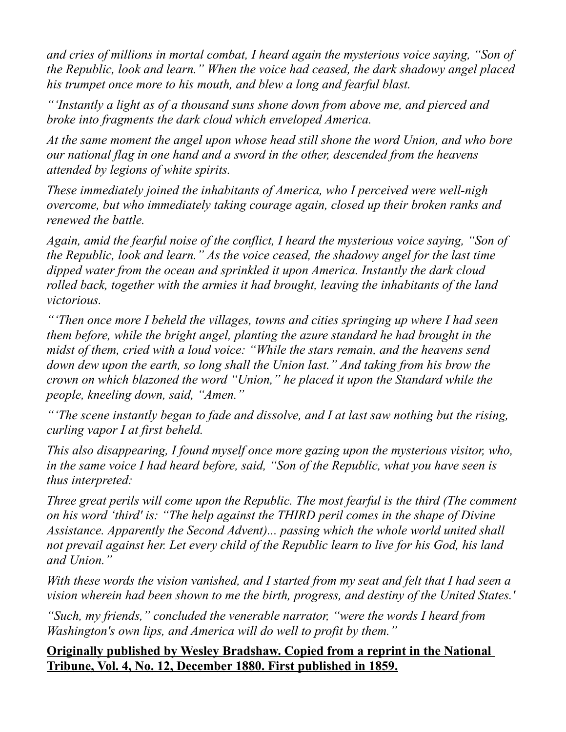*and cries of millions in mortal combat, I heard again the mysterious voice saying, "Son of the Republic, look and learn." When the voice had ceased, the dark shadowy angel placed his trumpet once more to his mouth, and blew a long and fearful blast.*

*"'Instantly a light as of a thousand suns shone down from above me, and pierced and broke into fragments the dark cloud which enveloped America.*

*At the same moment the angel upon whose head still shone the word Union, and who bore our national flag in one hand and a sword in the other, descended from the heavens attended by legions of white spirits.*

*These immediately joined the inhabitants of America, who I perceived were well-nigh overcome, but who immediately taking courage again, closed up their broken ranks and renewed the battle.*

*Again, amid the fearful noise of the conflict, I heard the mysterious voice saying, "Son of the Republic, look and learn." As the voice ceased, the shadowy angel for the last time dipped water from the ocean and sprinkled it upon America. Instantly the dark cloud rolled back, together with the armies it had brought, leaving the inhabitants of the land victorious.*

*"'Then once more I beheld the villages, towns and cities springing up where I had seen them before, while the bright angel, planting the azure standard he had brought in the midst of them, cried with a loud voice: "While the stars remain, and the heavens send down dew upon the earth, so long shall the Union last." And taking from his brow the crown on which blazoned the word "Union," he placed it upon the Standard while the people, kneeling down, said, "Amen."*

*"'The scene instantly began to fade and dissolve, and I at last saw nothing but the rising, curling vapor I at first beheld.*

*This also disappearing, I found myself once more gazing upon the mysterious visitor, who, in the same voice I had heard before, said, "Son of the Republic, what you have seen is thus interpreted:*

*Three great perils will come upon the Republic. The most fearful is the third (The comment on his word 'third' is: "The help against the THIRD peril comes in the shape of Divine Assistance. Apparently the Second Advent)... passing which the whole world united shall not prevail against her. Let every child of the Republic learn to live for his God, his land and Union."*

*With these words the vision vanished, and I started from my seat and felt that I had seen a vision wherein had been shown to me the birth, progress, and destiny of the United States.'*

*"Such, my friends," concluded the venerable narrator, "were the words I heard from Washington's own lips, and America will do well to profit by them."*

**Originally published by Wesley Bradshaw. Copied from a reprint in the National Tribune, Vol. 4, No. 12, December 1880. First published in 1859.**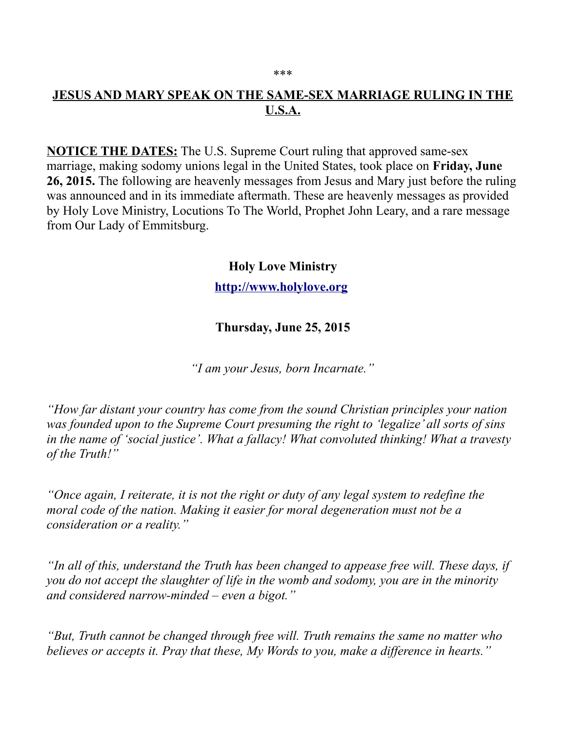#### \*\*\*

### **JESUS AND MARY SPEAK ON THE SAME-SEX MARRIAGE RULING IN THE U.S.A.**

**NOTICE THE DATES:** The U.S. Supreme Court ruling that approved same-sex marriage, making sodomy unions legal in the United States, took place on **Friday, June 26, 2015.** The following are heavenly messages from Jesus and Mary just before the ruling was announced and in its immediate aftermath. These are heavenly messages as provided by Holy Love Ministry, Locutions To The World, Prophet John Leary, and a rare message from Our Lady of Emmitsburg.

### **Holy Love Ministry**

#### **[http://www.holylove.org](http://www.holylove.org/)**

**Thursday, June 25, 2015**

*"I am your Jesus, born Incarnate."*

*"How far distant your country has come from the sound Christian principles your nation was founded upon to the Supreme Court presuming the right to 'legalize' all sorts of sins in the name of 'social justice'. What a fallacy! What convoluted thinking! What a travesty of the Truth!"*

*"Once again, I reiterate, it is not the right or duty of any legal system to redefine the moral code of the nation. Making it easier for moral degeneration must not be a consideration or a reality."*

*"In all of this, understand the Truth has been changed to appease free will. These days, if you do not accept the slaughter of life in the womb and sodomy, you are in the minority and considered narrow-minded – even a bigot."*

*"But, Truth cannot be changed through free will. Truth remains the same no matter who believes or accepts it. Pray that these, My Words to you, make a difference in hearts."*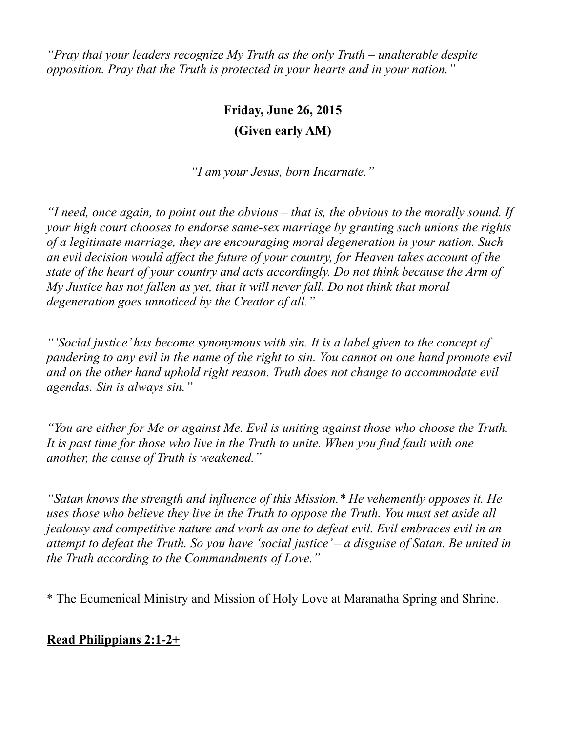*"Pray that your leaders recognize My Truth as the only Truth – unalterable despite opposition. Pray that the Truth is protected in your hearts and in your nation."*

# **Friday, June 26, 2015 (Given early AM)**

*"I am your Jesus, born Incarnate."*

*"I need, once again, to point out the obvious – that is, the obvious to the morally sound. If your high court chooses to endorse same-sex marriage by granting such unions the rights of a legitimate marriage, they are encouraging moral degeneration in your nation. Such an evil decision would affect the future of your country, for Heaven takes account of the state of the heart of your country and acts accordingly. Do not think because the Arm of My Justice has not fallen as yet, that it will never fall. Do not think that moral degeneration goes unnoticed by the Creator of all."*

*"'Social justice' has become synonymous with sin. It is a label given to the concept of pandering to any evil in the name of the right to sin. You cannot on one hand promote evil and on the other hand uphold right reason. Truth does not change to accommodate evil agendas. Sin is always sin."*

*"You are either for Me or against Me. Evil is uniting against those who choose the Truth. It is past time for those who live in the Truth to unite. When you find fault with one another, the cause of Truth is weakened."*

*"Satan knows the strength and influence of this Mission.\* He vehemently opposes it. He uses those who believe they live in the Truth to oppose the Truth. You must set aside all jealousy and competitive nature and work as one to defeat evil. Evil embraces evil in an attempt to defeat the Truth. So you have 'social justice' – a disguise of Satan. Be united in the Truth according to the Commandments of Love."*

\* The Ecumenical Ministry and Mission of Holy Love at Maranatha Spring and Shrine.

# **Read Philippians 2:1-2+**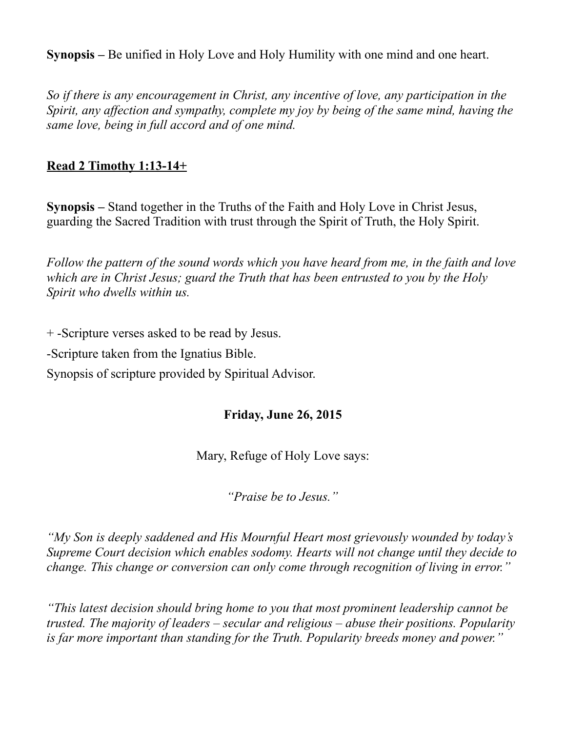**Synopsis –** Be unified in Holy Love and Holy Humility with one mind and one heart.

*So if there is any encouragement in Christ, any incentive of love, any participation in the Spirit, any affection and sympathy, complete my joy by being of the same mind, having the same love, being in full accord and of one mind.*

# **Read 2 Timothy 1:13-14+**

**Synopsis –** Stand together in the Truths of the Faith and Holy Love in Christ Jesus, guarding the Sacred Tradition with trust through the Spirit of Truth, the Holy Spirit.

*Follow the pattern of the sound words which you have heard from me, in the faith and love which are in Christ Jesus; guard the Truth that has been entrusted to you by the Holy Spirit who dwells within us.*

+ -Scripture verses asked to be read by Jesus.

-Scripture taken from the Ignatius Bible.

Synopsis of scripture provided by Spiritual Advisor.

# **Friday, June 26, 2015**

Mary, Refuge of Holy Love says:

*"Praise be to Jesus."*

*"My Son is deeply saddened and His Mournful Heart most grievously wounded by today's Supreme Court decision which enables sodomy. Hearts will not change until they decide to change. This change or conversion can only come through recognition of living in error."*

*"This latest decision should bring home to you that most prominent leadership cannot be trusted. The majority of leaders – secular and religious – abuse their positions. Popularity is far more important than standing for the Truth. Popularity breeds money and power."*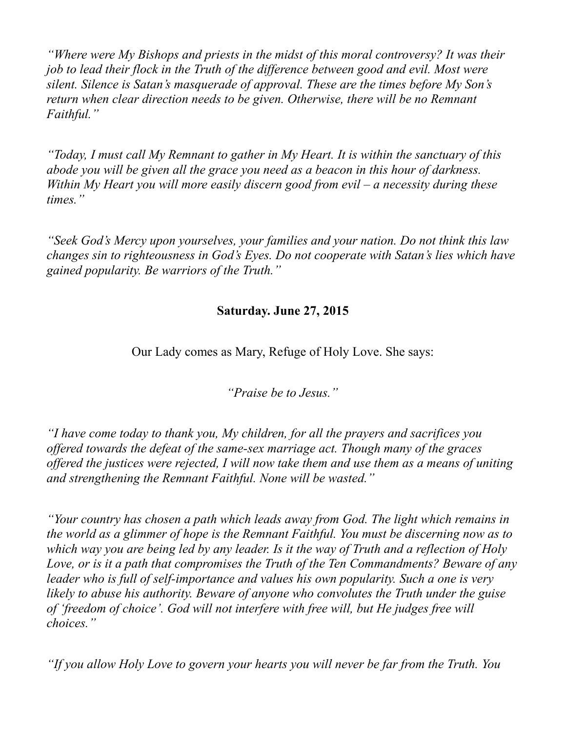*"Where were My Bishops and priests in the midst of this moral controversy? It was their job to lead their flock in the Truth of the difference between good and evil. Most were silent. Silence is Satan's masquerade of approval. These are the times before My Son's return when clear direction needs to be given. Otherwise, there will be no Remnant Faithful."*

*"Today, I must call My Remnant to gather in My Heart. It is within the sanctuary of this abode you will be given all the grace you need as a beacon in this hour of darkness. Within My Heart you will more easily discern good from evil – a necessity during these times."*

*"Seek God's Mercy upon yourselves, your families and your nation. Do not think this law changes sin to righteousness in God's Eyes. Do not cooperate with Satan's lies which have gained popularity. Be warriors of the Truth."*

### **Saturday. June 27, 2015**

Our Lady comes as Mary, Refuge of Holy Love. She says:

*"Praise be to Jesus."*

*"I have come today to thank you, My children, for all the prayers and sacrifices you offered towards the defeat of the same-sex marriage act. Though many of the graces offered the justices were rejected, I will now take them and use them as a means of uniting and strengthening the Remnant Faithful. None will be wasted."*

*"Your country has chosen a path which leads away from God. The light which remains in the world as a glimmer of hope is the Remnant Faithful. You must be discerning now as to which way you are being led by any leader. Is it the way of Truth and a reflection of Holy Love, or is it a path that compromises the Truth of the Ten Commandments? Beware of any leader who is full of self-importance and values his own popularity. Such a one is very likely to abuse his authority. Beware of anyone who convolutes the Truth under the guise of 'freedom of choice'. God will not interfere with free will, but He judges free will choices."*

*"If you allow Holy Love to govern your hearts you will never be far from the Truth. You*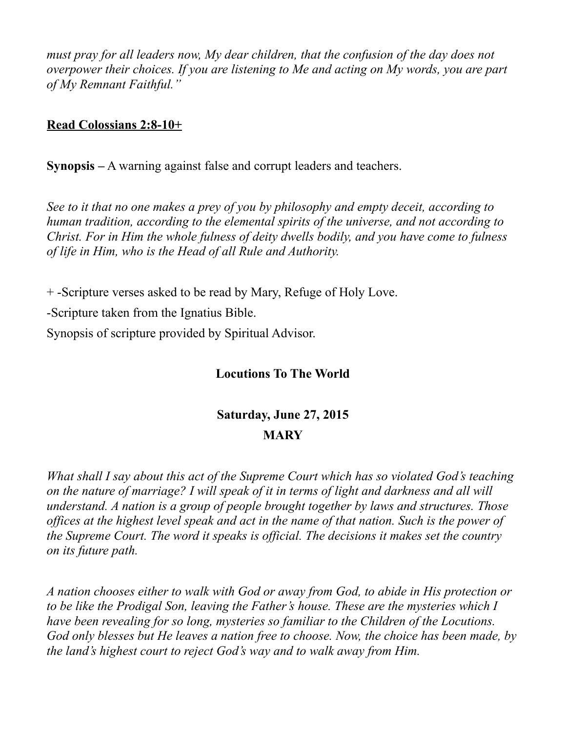*must pray for all leaders now, My dear children, that the confusion of the day does not overpower their choices. If you are listening to Me and acting on My words, you are part of My Remnant Faithful."*

### **Read Colossians 2:8-10+**

**Synopsis –** A warning against false and corrupt leaders and teachers.

*See to it that no one makes a prey of you by philosophy and empty deceit, according to human tradition, according to the elemental spirits of the universe, and not according to Christ. For in Him the whole fulness of deity dwells bodily, and you have come to fulness of life in Him, who is the Head of all Rule and Authority.*

+ -Scripture verses asked to be read by Mary, Refuge of Holy Love.

-Scripture taken from the Ignatius Bible.

Synopsis of scripture provided by Spiritual Advisor.

### **Locutions To The World**

# **Saturday, June 27, 2015 MARY**

*What shall I say about this act of the Supreme Court which has so violated God's teaching on the nature of marriage? I will speak of it in terms of light and darkness and all will understand. A nation is a group of people brought together by laws and structures. Those offices at the highest level speak and act in the name of that nation. Such is the power of the Supreme Court. The word it speaks is official. The decisions it makes set the country on its future path.*

*A nation chooses either to walk with God or away from God, to abide in His protection or to be like the Prodigal Son, leaving the Father's house. These are the mysteries which I have been revealing for so long, mysteries so familiar to the Children of the Locutions. God only blesses but He leaves a nation free to choose. Now, the choice has been made, by the land's highest court to reject God's way and to walk away from Him.*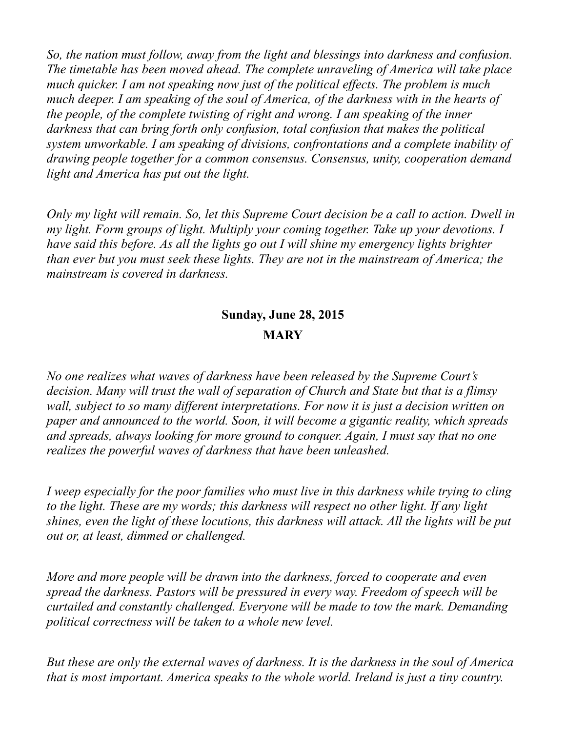*So, the nation must follow, away from the light and blessings into darkness and confusion. The timetable has been moved ahead. The complete unraveling of America will take place much quicker. I am not speaking now just of the political effects. The problem is much much deeper. I am speaking of the soul of America, of the darkness with in the hearts of the people, of the complete twisting of right and wrong. I am speaking of the inner darkness that can bring forth only confusion, total confusion that makes the political system unworkable. I am speaking of divisions, confrontations and a complete inability of drawing people together for a common consensus. Consensus, unity, cooperation demand light and America has put out the light.*

*Only my light will remain. So, let this Supreme Court decision be a call to action. Dwell in my light. Form groups of light. Multiply your coming together. Take up your devotions. I have said this before. As all the lights go out I will shine my emergency lights brighter than ever but you must seek these lights. They are not in the mainstream of America; the mainstream is covered in darkness.*

# **Sunday, June 28, 2015 MARY**

*No one realizes what waves of darkness have been released by the Supreme Court's decision. Many will trust the wall of separation of Church and State but that is a flimsy wall, subject to so many different interpretations. For now it is just a decision written on paper and announced to the world. Soon, it will become a gigantic reality, which spreads and spreads, always looking for more ground to conquer. Again, I must say that no one realizes the powerful waves of darkness that have been unleashed.*

*I weep especially for the poor families who must live in this darkness while trying to cling to the light. These are my words; this darkness will respect no other light. If any light shines, even the light of these locutions, this darkness will attack. All the lights will be put out or, at least, dimmed or challenged.*

*More and more people will be drawn into the darkness, forced to cooperate and even spread the darkness. Pastors will be pressured in every way. Freedom of speech will be curtailed and constantly challenged. Everyone will be made to tow the mark. Demanding political correctness will be taken to a whole new level.*

*But these are only the external waves of darkness. It is the darkness in the soul of America that is most important. America speaks to the whole world. Ireland is just a tiny country.*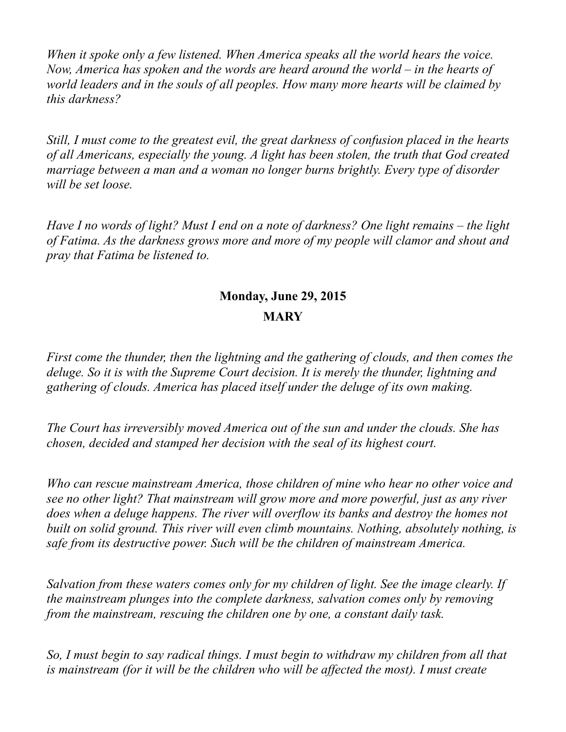*When it spoke only a few listened. When America speaks all the world hears the voice. Now, America has spoken and the words are heard around the world – in the hearts of world leaders and in the souls of all peoples. How many more hearts will be claimed by this darkness?*

*Still, I must come to the greatest evil, the great darkness of confusion placed in the hearts of all Americans, especially the young. A light has been stolen, the truth that God created marriage between a man and a woman no longer burns brightly. Every type of disorder will be set loose.*

*Have I no words of light? Must I end on a note of darkness? One light remains – the light of Fatima. As the darkness grows more and more of my people will clamor and shout and pray that Fatima be listened to.*

# **Monday, June 29, 2015 MARY**

*First come the thunder, then the lightning and the gathering of clouds, and then comes the deluge. So it is with the Supreme Court decision. It is merely the thunder, lightning and gathering of clouds. America has placed itself under the deluge of its own making.*

*The Court has irreversibly moved America out of the sun and under the clouds. She has chosen, decided and stamped her decision with the seal of its highest court.*

*Who can rescue mainstream America, those children of mine who hear no other voice and see no other light? That mainstream will grow more and more powerful, just as any river does when a deluge happens. The river will overflow its banks and destroy the homes not built on solid ground. This river will even climb mountains. Nothing, absolutely nothing, is safe from its destructive power. Such will be the children of mainstream America.*

*Salvation from these waters comes only for my children of light. See the image clearly. If the mainstream plunges into the complete darkness, salvation comes only by removing from the mainstream, rescuing the children one by one, a constant daily task.*

*So, I must begin to say radical things. I must begin to withdraw my children from all that is mainstream (for it will be the children who will be affected the most). I must create*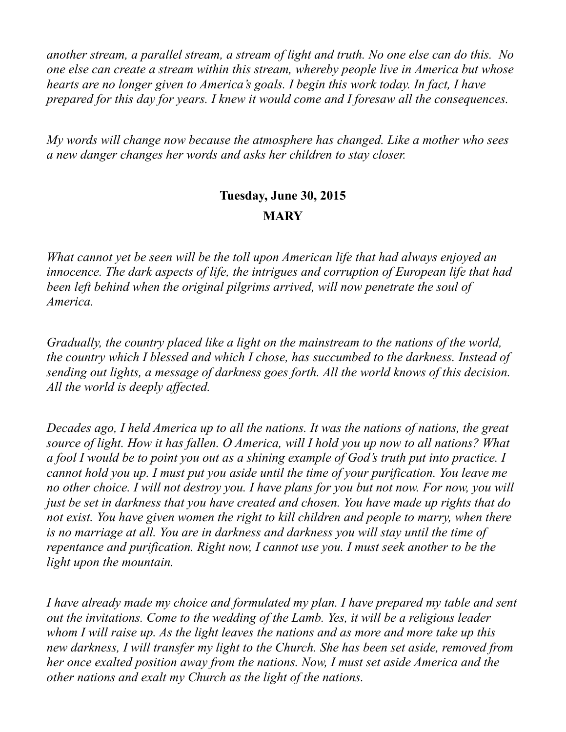*another stream, a parallel stream, a stream of light and truth. No one else can do this. No one else can create a stream within this stream, whereby people live in America but whose hearts are no longer given to America's goals. I begin this work today. In fact, I have prepared for this day for years. I knew it would come and I foresaw all the consequences.*

*My words will change now because the atmosphere has changed. Like a mother who sees a new danger changes her words and asks her children to stay closer.*

# **Tuesday, June 30, 2015 MARY**

*What cannot yet be seen will be the toll upon American life that had always enjoyed an innocence. The dark aspects of life, the intrigues and corruption of European life that had*  been left behind when the original pilgrims arrived, will now penetrate the soul of *America.*

*Gradually, the country placed like a light on the mainstream to the nations of the world, the country which I blessed and which I chose, has succumbed to the darkness. Instead of sending out lights, a message of darkness goes forth. All the world knows of this decision. All the world is deeply affected.*

*Decades ago, I held America up to all the nations. It was the nations of nations, the great source of light. How it has fallen. O America, will I hold you up now to all nations? What a fool I would be to point you out as a shining example of God's truth put into practice. I cannot hold you up. I must put you aside until the time of your purification. You leave me no other choice. I will not destroy you. I have plans for you but not now. For now, you will just be set in darkness that you have created and chosen. You have made up rights that do not exist. You have given women the right to kill children and people to marry, when there is no marriage at all. You are in darkness and darkness you will stay until the time of repentance and purification. Right now, I cannot use you. I must seek another to be the light upon the mountain.*

*I have already made my choice and formulated my plan. I have prepared my table and sent out the invitations. Come to the wedding of the Lamb. Yes, it will be a religious leader whom I will raise up. As the light leaves the nations and as more and more take up this new darkness, I will transfer my light to the Church. She has been set aside, removed from her once exalted position away from the nations. Now, I must set aside America and the other nations and exalt my Church as the light of the nations.*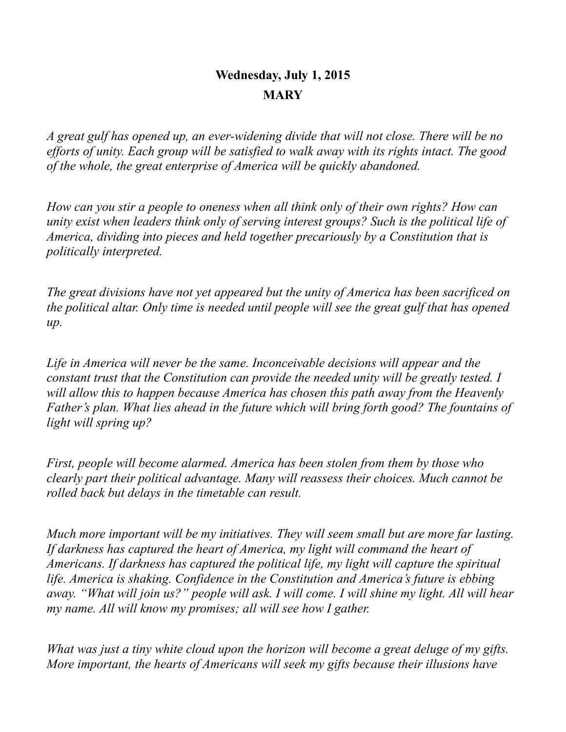# **Wednesday, July 1, 2015 MARY**

*A great gulf has opened up, an ever-widening divide that will not close. There will be no efforts of unity. Each group will be satisfied to walk away with its rights intact. The good of the whole, the great enterprise of America will be quickly abandoned.*

*How can you stir a people to oneness when all think only of their own rights? How can unity exist when leaders think only of serving interest groups? Such is the political life of America, dividing into pieces and held together precariously by a Constitution that is politically interpreted.*

*The great divisions have not yet appeared but the unity of America has been sacrificed on the political altar. Only time is needed until people will see the great gulf that has opened up.*

*Life in America will never be the same. Inconceivable decisions will appear and the constant trust that the Constitution can provide the needed unity will be greatly tested. I will allow this to happen because America has chosen this path away from the Heavenly Father's plan. What lies ahead in the future which will bring forth good? The fountains of light will spring up?*

*First, people will become alarmed. America has been stolen from them by those who clearly part their political advantage. Many will reassess their choices. Much cannot be rolled back but delays in the timetable can result.*

*Much more important will be my initiatives. They will seem small but are more far lasting. If darkness has captured the heart of America, my light will command the heart of Americans. If darkness has captured the political life, my light will capture the spiritual life. America is shaking. Confidence in the Constitution and America's future is ebbing away. "What will join us?" people will ask. I will come. I will shine my light. All will hear my name. All will know my promises; all will see how I gather.*

*What was just a tiny white cloud upon the horizon will become a great deluge of my gifts. More important, the hearts of Americans will seek my gifts because their illusions have*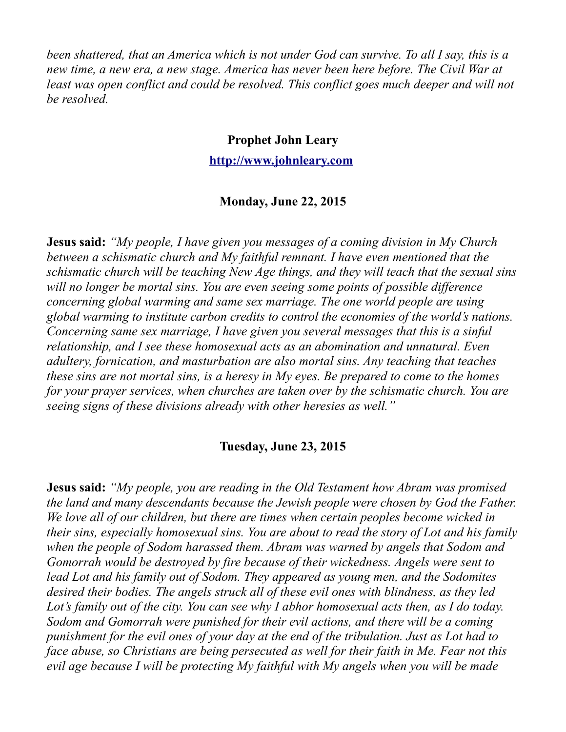*been shattered, that an America which is not under God can survive. To all I say, this is a new time, a new era, a new stage. America has never been here before. The Civil War at least was open conflict and could be resolved. This conflict goes much deeper and will not be resolved.*

### **Prophet John Leary**

#### **[http://www.johnleary.com](http://www.johnleary.com/)**

#### **Monday, June 22, 2015**

**Jesus said:** *"My people, I have given you messages of a coming division in My Church between a schismatic church and My faithful remnant. I have even mentioned that the schismatic church will be teaching New Age things, and they will teach that the sexual sins will no longer be mortal sins. You are even seeing some points of possible difference concerning global warming and same sex marriage. The one world people are using global warming to institute carbon credits to control the economies of the world's nations. Concerning same sex marriage, I have given you several messages that this is a sinful relationship, and I see these homosexual acts as an abomination and unnatural. Even adultery, fornication, and masturbation are also mortal sins. Any teaching that teaches these sins are not mortal sins, is a heresy in My eyes. Be prepared to come to the homes for your prayer services, when churches are taken over by the schismatic church. You are seeing signs of these divisions already with other heresies as well."*

#### **Tuesday, June 23, 2015**

**Jesus said:** *"My people, you are reading in the Old Testament how Abram was promised the land and many descendants because the Jewish people were chosen by God the Father. We love all of our children, but there are times when certain peoples become wicked in their sins, especially homosexual sins. You are about to read the story of Lot and his family when the people of Sodom harassed them. Abram was warned by angels that Sodom and Gomorrah would be destroyed by fire because of their wickedness. Angels were sent to*  lead Lot and his family out of Sodom. They appeared as young men, and the Sodomites *desired their bodies. The angels struck all of these evil ones with blindness, as they led Lot's family out of the city. You can see why I abhor homosexual acts then, as I do today. Sodom and Gomorrah were punished for their evil actions, and there will be a coming punishment for the evil ones of your day at the end of the tribulation. Just as Lot had to face abuse, so Christians are being persecuted as well for their faith in Me. Fear not this evil age because I will be protecting My faithful with My angels when you will be made*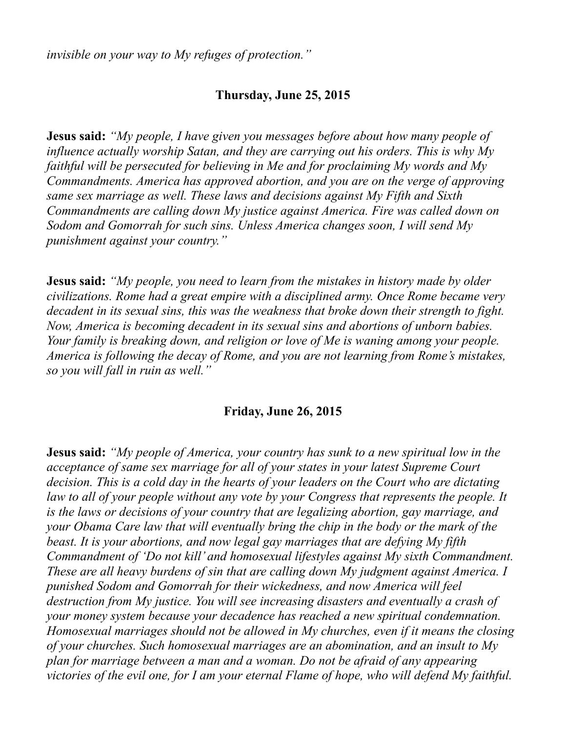*invisible on your way to My refuges of protection."*

### **Thursday, June 25, 2015**

**Jesus said:** *"My people, I have given you messages before about how many people of influence actually worship Satan, and they are carrying out his orders. This is why My faithful will be persecuted for believing in Me and for proclaiming My words and My Commandments. America has approved abortion, and you are on the verge of approving same sex marriage as well. These laws and decisions against My Fifth and Sixth Commandments are calling down My justice against America. Fire was called down on Sodom and Gomorrah for such sins. Unless America changes soon, I will send My punishment against your country."*

**Jesus said:** *"My people, you need to learn from the mistakes in history made by older civilizations. Rome had a great empire with a disciplined army. Once Rome became very decadent in its sexual sins, this was the weakness that broke down their strength to fight. Now, America is becoming decadent in its sexual sins and abortions of unborn babies. Your family is breaking down, and religion or love of Me is waning among your people. America is following the decay of Rome, and you are not learning from Rome's mistakes, so you will fall in ruin as well."*

#### **Friday, June 26, 2015**

**Jesus said:** *"My people of America, your country has sunk to a new spiritual low in the acceptance of same sex marriage for all of your states in your latest Supreme Court decision. This is a cold day in the hearts of your leaders on the Court who are dictating*  law to all of your people without any vote by your Congress that represents the people. It *is the laws or decisions of your country that are legalizing abortion, gay marriage, and your Obama Care law that will eventually bring the chip in the body or the mark of the beast. It is your abortions, and now legal gay marriages that are defying My fifth Commandment of 'Do not kill' and homosexual lifestyles against My sixth Commandment. These are all heavy burdens of sin that are calling down My judgment against America. I punished Sodom and Gomorrah for their wickedness, and now America will feel destruction from My justice. You will see increasing disasters and eventually a crash of your money system because your decadence has reached a new spiritual condemnation. Homosexual marriages should not be allowed in My churches, even if it means the closing of your churches. Such homosexual marriages are an abomination, and an insult to My plan for marriage between a man and a woman. Do not be afraid of any appearing victories of the evil one, for I am your eternal Flame of hope, who will defend My faithful.*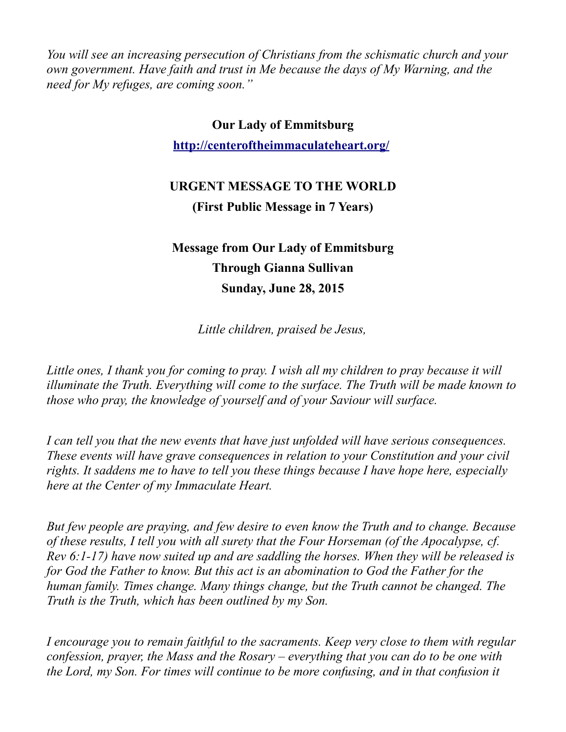*You will see an increasing persecution of Christians from the schismatic church and your own government. Have faith and trust in Me because the days of My Warning, and the need for My refuges, are coming soon."*

### **Our Lady of Emmitsburg**

**<http://centeroftheimmaculateheart.org/>**

# **URGENT MESSAGE TO THE WORLD**

# **(First Public Message in 7 Years)**

# **Message from Our Lady of Emmitsburg Through Gianna Sullivan Sunday, June 28, 2015**

*Little children, praised be Jesus,*

*Little ones, I thank you for coming to pray. I wish all my children to pray because it will illuminate the Truth. Everything will come to the surface. The Truth will be made known to those who pray, the knowledge of yourself and of your Saviour will surface.*

*I can tell you that the new events that have just unfolded will have serious consequences. These events will have grave consequences in relation to your Constitution and your civil rights. It saddens me to have to tell you these things because I have hope here, especially here at the Center of my Immaculate Heart.*

*But few people are praying, and few desire to even know the Truth and to change. Because of these results, I tell you with all surety that the Four Horseman (of the Apocalypse, cf. Rev 6:1-17) have now suited up and are saddling the horses. When they will be released is for God the Father to know. But this act is an abomination to God the Father for the human family. Times change. Many things change, but the Truth cannot be changed. The Truth is the Truth, which has been outlined by my Son.*

*I encourage you to remain faithful to the sacraments. Keep very close to them with regular confession, prayer, the Mass and the Rosary – everything that you can do to be one with the Lord, my Son. For times will continue to be more confusing, and in that confusion it*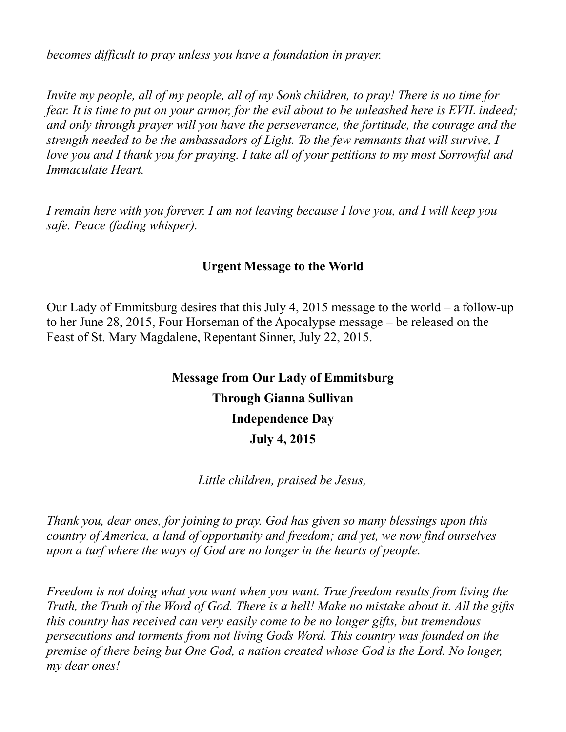*becomes difficult to pray unless you have a foundation in prayer.*

*Invite my people, all of my people, all of my Sons children, to pray! There is no time for fear. It is time to put on your armor, for the evil about to be unleashed here is EVIL indeed; and only through prayer will you have the perseverance, the fortitude, the courage and the strength needed to be the ambassadors of Light. To the few remnants that will survive, I love you and I thank you for praying. I take all of your petitions to my most Sorrowful and Immaculate Heart.*

*I remain here with you forever. I am not leaving because I love you, and I will keep you safe. Peace (fading whisper).*

# **Urgent Message to the World**

Our Lady of Emmitsburg desires that this July 4, 2015 message to the world – a follow-up to her June 28, 2015, Four Horseman of the Apocalypse message – be released on the Feast of St. Mary Magdalene, Repentant Sinner, July 22, 2015.

# **Message from Our Lady of Emmitsburg Through Gianna Sullivan Independence Day July 4, 2015**

*Little children, praised be Jesus,*

*Thank you, dear ones, for joining to pray. God has given so many blessings upon this country of America, a land of opportunity and freedom; and yet, we now find ourselves upon a turf where the ways of God are no longer in the hearts of people.*

*Freedom is not doing what you want when you want. True freedom results from living the Truth, the Truth of the Word of God. There is a hell! Make no mistake about it. All the gifts this country has received can very easily come to be no longer gifts, but tremendous persecutions and torments from not living Gods Word. This country was founded on the premise of there being but One God, a nation created whose God is the Lord. No longer, my dear ones!*